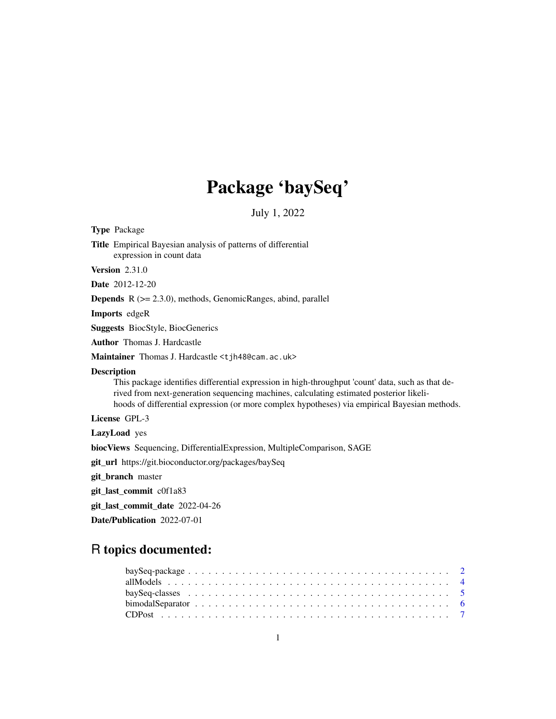# Package 'baySeq'

July 1, 2022

<span id="page-0-0"></span>Type Package Title Empirical Bayesian analysis of patterns of differential expression in count data Version 2.31.0 Date 2012-12-20 Depends R (>= 2.3.0), methods, GenomicRanges, abind, parallel Imports edgeR Suggests BiocStyle, BiocGenerics Author Thomas J. Hardcastle Maintainer Thomas J. Hardcastle <tjh48@cam.ac.uk> **Description** This package identifies differential expression in high-throughput 'count' data, such as that derived from next-generation sequencing machines, calculating estimated posterior likelihoods of differential expression (or more complex hypotheses) via empirical Bayesian methods. License GPL-3 LazyLoad yes biocViews Sequencing, DifferentialExpression, MultipleComparison, SAGE git\_url https://git.bioconductor.org/packages/baySeq

git\_branch master

git\_last\_commit c0f1a83

git\_last\_commit\_date 2022-04-26

Date/Publication 2022-07-01

# R topics documented: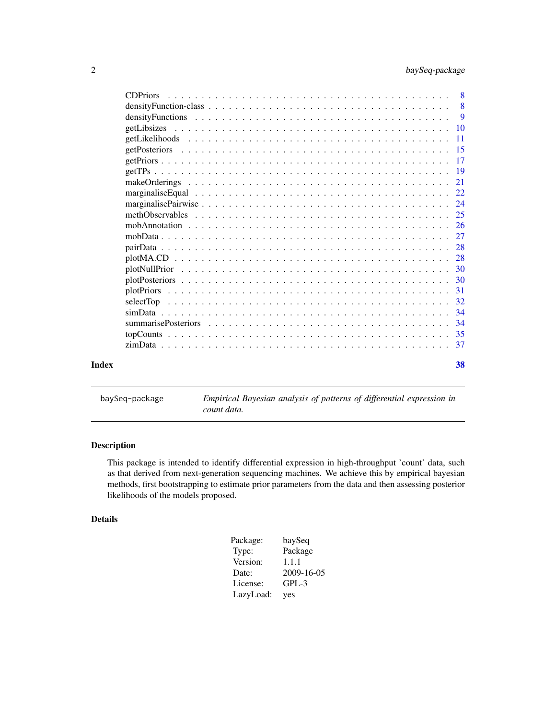<span id="page-1-0"></span>

| <b>CDPriors</b> |     |
|-----------------|-----|
|                 |     |
|                 |     |
|                 |     |
|                 |     |
|                 |     |
|                 |     |
|                 |     |
|                 |     |
|                 |     |
|                 |     |
|                 |     |
|                 |     |
|                 |     |
|                 |     |
|                 |     |
|                 |     |
|                 |     |
|                 |     |
|                 |     |
|                 |     |
|                 | -34 |
|                 |     |
|                 |     |
| Index           | 38  |

baySeq-package *Empirical Bayesian analysis of patterns of differential expression in count data.*

# Description

This package is intended to identify differential expression in high-throughput 'count' data, such as that derived from next-generation sequencing machines. We achieve this by empirical bayesian methods, first bootstrapping to estimate prior parameters from the data and then assessing posterior likelihoods of the models proposed.

# Details

| Package:  | baySeq     |
|-----------|------------|
| Type:     | Package    |
| Version:  | 1.1.1      |
| Date:     | 2009-16-05 |
| License:  | $GPL-3$    |
| LazyLoad: | yes        |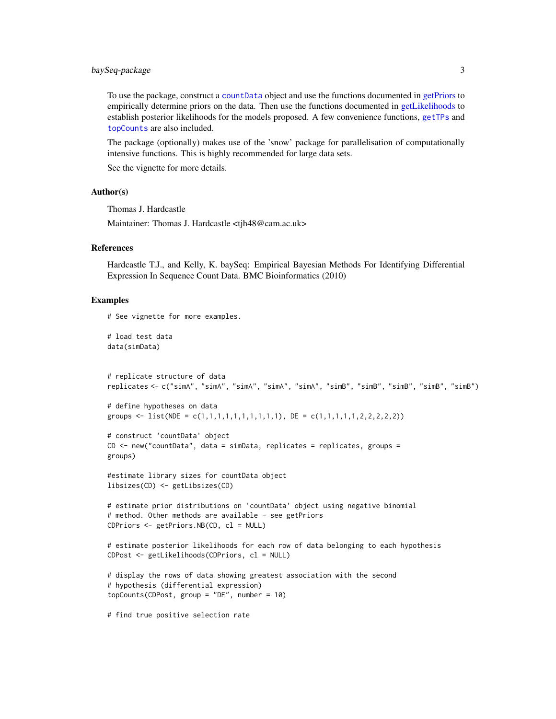# <span id="page-2-0"></span>baySeq-package 3

To use the package, construct a [countData](#page-4-1) object and use the functions documented in [getPriors](#page-16-1) to empirically determine priors on the data. Then use the functions documented in [getLikelihoods](#page-10-1) to establish posterior likelihoods for the models proposed. A few convenience functions, [getTPs](#page-18-1) and [topCounts](#page-34-1) are also included.

The package (optionally) makes use of the 'snow' package for parallelisation of computationally intensive functions. This is highly recommended for large data sets.

See the vignette for more details.

# Author(s)

Thomas J. Hardcastle

Maintainer: Thomas J. Hardcastle <tjh48@cam.ac.uk>

#### References

Hardcastle T.J., and Kelly, K. baySeq: Empirical Bayesian Methods For Identifying Differential Expression In Sequence Count Data. BMC Bioinformatics (2010)

#### Examples

```
# See vignette for more examples.
```
# load test data data(simData)

```
# replicate structure of data
replicates <- c("simA", "simA", "simA", "simA", "simA", "simB", "simB", "simB", "simB", "simB")
```

```
# define hypotheses on data
groups <- list(NDE = c(1,1,1,1,1,1,1,1,1,1), DE = c(1,1,1,1,1,2,2,2,2,2))
```

```
# construct 'countData' object
CD <- new("countData", data = simData, replicates = replicates, groups =
groups)
```

```
#estimate library sizes for countData object
libsizes(CD) <- getLibsizes(CD)
```

```
# estimate prior distributions on 'countData' object using negative binomial
# method. Other methods are available - see getPriors
CDPriors <- getPriors.NB(CD, cl = NULL)
```

```
# estimate posterior likelihoods for each row of data belonging to each hypothesis
CDPost <- getLikelihoods(CDPriors, cl = NULL)
```

```
# display the rows of data showing greatest association with the second
# hypothesis (differential expression)
topCounts(CDPost, group = "DE", number = 10)
```
# find true positive selection rate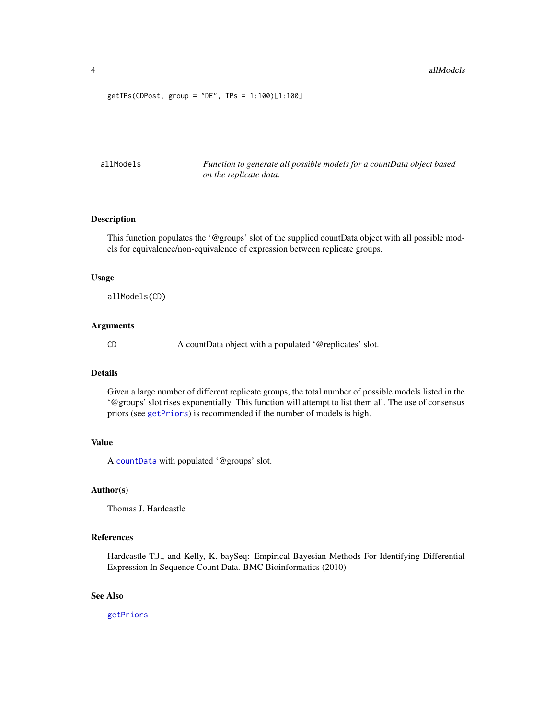<span id="page-3-0"></span>getTPs(CDPost, group = "DE", TPs = 1:100)[1:100]

<span id="page-3-1"></span>allModels *Function to generate all possible models for a countData object based on the replicate data.*

# Description

This function populates the '@groups' slot of the supplied countData object with all possible models for equivalence/non-equivalence of expression between replicate groups.

#### Usage

allModels(CD)

# Arguments

CD A countData object with a populated '@replicates' slot.

#### Details

Given a large number of different replicate groups, the total number of possible models listed in the '@groups' slot rises exponentially. This function will attempt to list them all. The use of consensus priors (see [getPriors](#page-16-1)) is recommended if the number of models is high.

# Value

A [countData](#page-4-1) with populated '@groups' slot.

# Author(s)

Thomas J. Hardcastle

# References

Hardcastle T.J., and Kelly, K. baySeq: Empirical Bayesian Methods For Identifying Differential Expression In Sequence Count Data. BMC Bioinformatics (2010)

#### See Also

[getPriors](#page-16-1)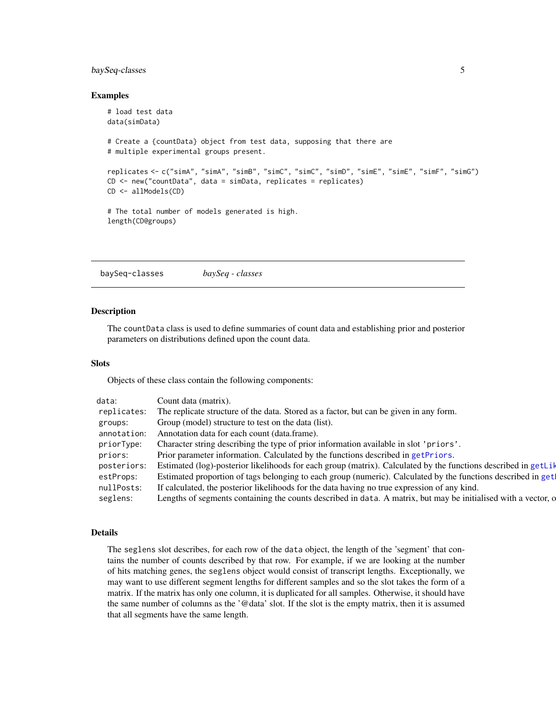# <span id="page-4-0"></span>baySeq-classes 5

#### Examples

```
# load test data
data(simData)
# Create a {countData} object from test data, supposing that there are
# multiple experimental groups present.
replicates <- c("simA", "simA", "simB", "simC", "simC", "simD", "simE", "simE", "simF", "simG")
CD <- new("countData", data = simData, replicates = replicates)
CD <- allModels(CD)
# The total number of models generated is high.
length(CD@groups)
```
baySeq-classes *baySeq - classes*

#### <span id="page-4-1"></span>Description

The countData class is used to define summaries of count data and establishing prior and posterior parameters on distributions defined upon the count data.

#### Slots

Objects of these class contain the following components:

| data:       | Count data (matrix).                                                                                           |
|-------------|----------------------------------------------------------------------------------------------------------------|
| replicates: | The replicate structure of the data. Stored as a factor, but can be given in any form.                         |
| groups:     | Group (model) structure to test on the data (list).                                                            |
| annotation: | Annotation data for each count (data.frame).                                                                   |
| priorType:  | Character string describing the type of prior information available in slot 'priors'.                          |
| priors:     | Prior parameter information. Calculated by the functions described in getPriors.                               |
| posteriors: | Estimated (log)-posterior likelihoods for each group (matrix). Calculated by the functions described in getLik |
| estProps:   | Estimated proportion of tags belonging to each group (numeric). Calculated by the functions described in get   |
| nullPosts:  | If calculated, the posterior likelihoods for the data having no true expression of any kind.                   |
| seglens:    | Lengths of segments containing the counts described in data. A matrix, but may be initialised with a vector, o |

#### Details

The seglens slot describes, for each row of the data object, the length of the 'segment' that contains the number of counts described by that row. For example, if we are looking at the number of hits matching genes, the seglens object would consist of transcript lengths. Exceptionally, we may want to use different segment lengths for different samples and so the slot takes the form of a matrix. If the matrix has only one column, it is duplicated for all samples. Otherwise, it should have the same number of columns as the '@data' slot. If the slot is the empty matrix, then it is assumed that all segments have the same length.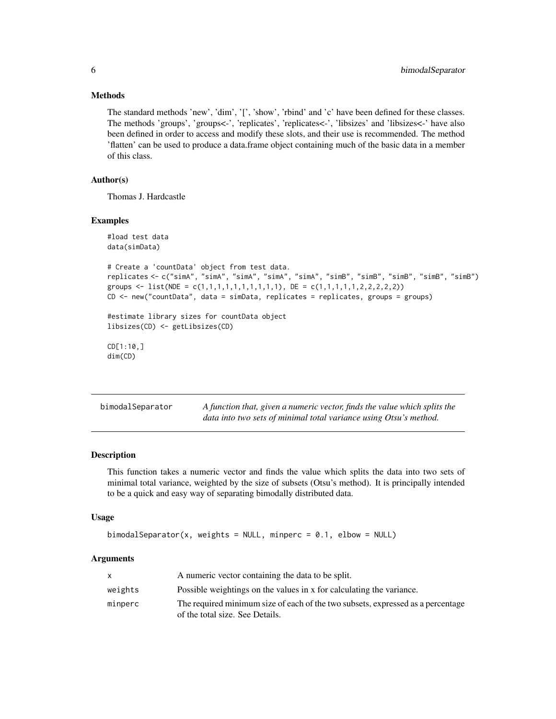#### <span id="page-5-0"></span>Methods

The standard methods 'new', 'dim', '[', 'show', 'rbind' and 'c' have been defined for these classes. The methods 'groups', 'groups<-', 'replicates', 'replicates<-', 'libsizes' and 'libsizes<-' have also been defined in order to access and modify these slots, and their use is recommended. The method 'flatten' can be used to produce a data.frame object containing much of the basic data in a member of this class.

# Author(s)

Thomas J. Hardcastle

#### Examples

```
#load test data
data(simData)
# Create a 'countData' object from test data.
replicates <- c("simA", "simA", "simA", "simA", "simA", "simB", "simB", "simB", "simB", "simB")
groups <- list(NDE = c(1,1,1,1,1,1,1,1,1,1), DE = c(1,1,1,1,1,2,2,2,2,2))
CD <- new("countData", data = simData, replicates = replicates, groups = groups)
#estimate library sizes for countData object
libsizes(CD) <- getLibsizes(CD)
CD[1:10,]
dim(CD)
```

| bimodalSeparator | A function that, given a numeric vector, finds the value which splits the |
|------------------|---------------------------------------------------------------------------|
|                  | data into two sets of minimal total variance using Otsu's method.         |

#### **Description**

This function takes a numeric vector and finds the value which splits the data into two sets of minimal total variance, weighted by the size of subsets (Otsu's method). It is principally intended to be a quick and easy way of separating bimodally distributed data.

#### Usage

```
bimodalSeparator(x, weights = NULL, minperc = 0.1, elbow = NULL)
```
# Arguments

|         | A numeric vector containing the data to be split.                               |
|---------|---------------------------------------------------------------------------------|
| weights | Possible weightings on the values in x for calculating the variance.            |
| minperc | The required minimum size of each of the two subsets, expressed as a percentage |
|         | of the total size. See Details.                                                 |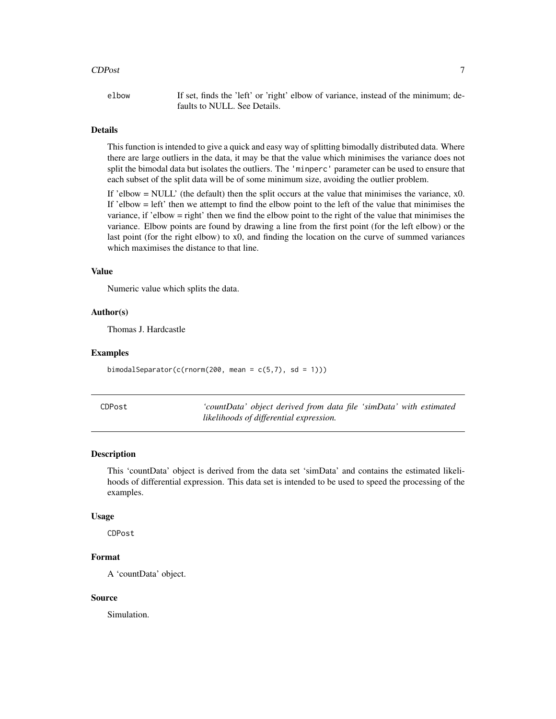#### <span id="page-6-0"></span>CDPost 7

elbow If set, finds the 'left' or 'right' elbow of variance, instead of the minimum; defaults to NULL. See Details.

# Details

This function is intended to give a quick and easy way of splitting bimodally distributed data. Where there are large outliers in the data, it may be that the value which minimises the variance does not split the bimodal data but isolates the outliers. The 'minperc' parameter can be used to ensure that each subset of the split data will be of some minimum size, avoiding the outlier problem.

If 'elbow  $=$  NULL' (the default) then the split occurs at the value that minimises the variance,  $x0$ . If 'elbow = left' then we attempt to find the elbow point to the left of the value that minimises the variance, if 'elbow = right' then we find the elbow point to the right of the value that minimises the variance. Elbow points are found by drawing a line from the first point (for the left elbow) or the last point (for the right elbow) to x0, and finding the location on the curve of summed variances which maximises the distance to that line.

#### Value

Numeric value which splits the data.

#### Author(s)

Thomas J. Hardcastle

#### Examples

bimodalSeparator(c(rnorm(200, mean =  $c(5,7)$ , sd = 1)))

| CDPost | 'countData' object derived from data file 'simData' with estimated |
|--------|--------------------------------------------------------------------|
|        | likelihoods of differential expression.                            |

#### Description

This 'countData' object is derived from the data set 'simData' and contains the estimated likelihoods of differential expression. This data set is intended to be used to speed the processing of the examples.

#### Usage

CDPost

# Format

A 'countData' object.

#### Source

Simulation.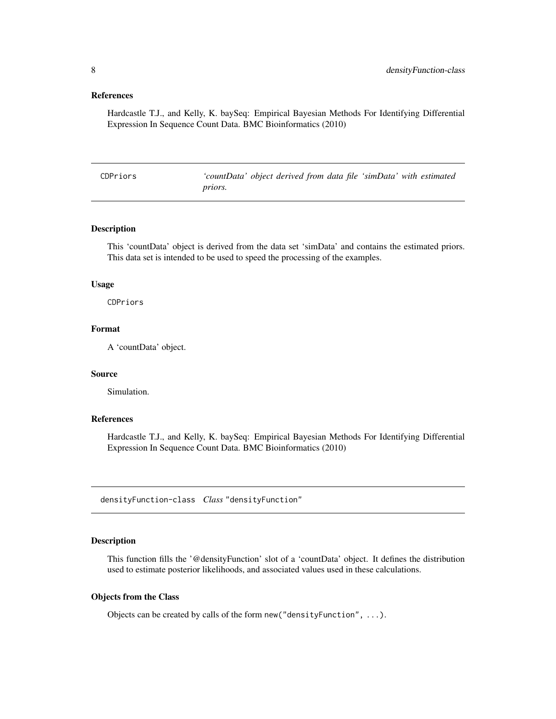#### <span id="page-7-0"></span>References

Hardcastle T.J., and Kelly, K. baySeq: Empirical Bayesian Methods For Identifying Differential Expression In Sequence Count Data. BMC Bioinformatics (2010)

| CDPriors |                | 'countData' object derived from data file 'simData' with estimated |  |  |
|----------|----------------|--------------------------------------------------------------------|--|--|
|          | <i>priors.</i> |                                                                    |  |  |

#### Description

This 'countData' object is derived from the data set 'simData' and contains the estimated priors. This data set is intended to be used to speed the processing of the examples.

#### Usage

CDPriors

# Format

A 'countData' object.

# Source

Simulation.

# References

Hardcastle T.J., and Kelly, K. baySeq: Empirical Bayesian Methods For Identifying Differential Expression In Sequence Count Data. BMC Bioinformatics (2010)

densityFunction-class *Class* "densityFunction"

#### Description

This function fills the '@densityFunction' slot of a 'countData' object. It defines the distribution used to estimate posterior likelihoods, and associated values used in these calculations.

#### Objects from the Class

Objects can be created by calls of the form new("densityFunction", ...).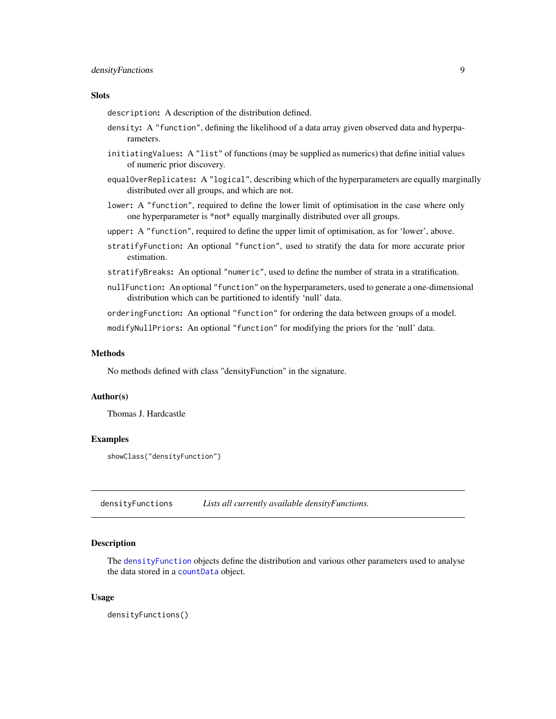# <span id="page-8-0"></span>densityFunctions 9

# Slots

description: A description of the distribution defined.

- density: A "function", defining the likelihood of a data array given observed data and hyperparameters.
- initiatingValues: A "list" of functions (may be supplied as numerics) that define initial values of numeric prior discovery.
- equalOverReplicates: A "logical", describing which of the hyperparameters are equally marginally distributed over all groups, and which are not.
- lower: A "function", required to define the lower limit of optimisation in the case where only one hyperparameter is \*not\* equally marginally distributed over all groups.
- upper: A "function", required to define the upper limit of optimisation, as for 'lower', above.
- stratifyFunction: An optional "function", used to stratify the data for more accurate prior estimation.
- stratifyBreaks: An optional "numeric", used to define the number of strata in a stratification.
- nullFunction: An optional "function" on the hyperparameters, used to generate a one-dimensional distribution which can be partitioned to identify 'null' data.

orderingFunction: An optional "function" for ordering the data between groups of a model.

modifyNullPriors: An optional "function" for modifying the priors for the 'null' data.

#### **Methods**

No methods defined with class "densityFunction" in the signature.

#### Author(s)

Thomas J. Hardcastle

# Examples

showClass("densityFunction")

densityFunctions *Lists all currently available densityFunctions.*

#### Description

The [densityFunction](#page-4-1) objects define the distribution and various other parameters used to analyse the data stored in a [countData](#page-4-1) object.

#### Usage

densityFunctions()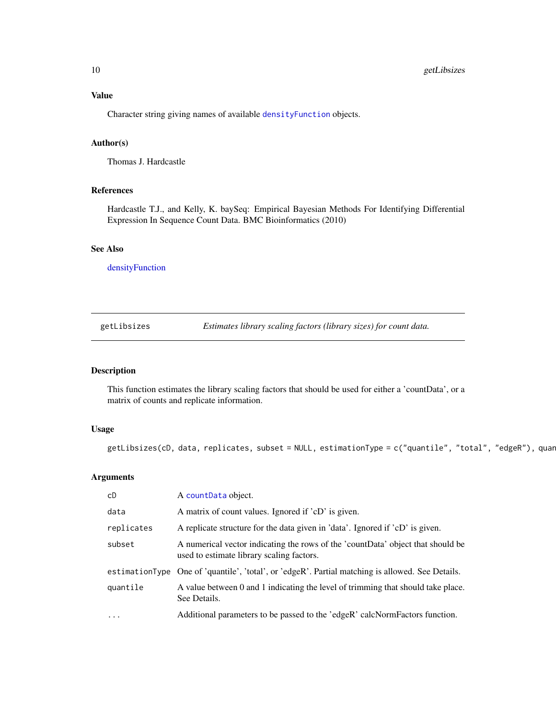<span id="page-9-0"></span>Character string giving names of available [densityFunction](#page-4-1) objects.

# Author(s)

Thomas J. Hardcastle

# References

Hardcastle T.J., and Kelly, K. baySeq: Empirical Bayesian Methods For Identifying Differential Expression In Sequence Count Data. BMC Bioinformatics (2010)

# See Also

[densityFunction](#page-4-1)

getLibsizes *Estimates library scaling factors (library sizes) for count data.*

# Description

This function estimates the library scaling factors that should be used for either a 'countData', or a matrix of counts and replicate information.

# Usage

 $getLib sizes(CD, data, replicates, subset = NULL, estimationType = c("quantile", "total", "edgeR"), quar$ 

# Arguments

| cD         | A countData object.                                                                                                          |
|------------|------------------------------------------------------------------------------------------------------------------------------|
| data       | A matrix of count values. Ignored if 'cD' is given.                                                                          |
| replicates | A replicate structure for the data given in 'data'. Ignored if 'cD' is given.                                                |
| subset     | A numerical vector indicating the rows of the 'countData' object that should be<br>used to estimate library scaling factors. |
|            | estimationType One of 'quantile', 'total', or 'edgeR'. Partial matching is allowed. See Details.                             |
| quantile   | A value between 0 and 1 indicating the level of trimming that should take place.<br>See Details.                             |
| $\cdots$   | Additional parameters to be passed to the 'edgeR' calcNormFactors function.                                                  |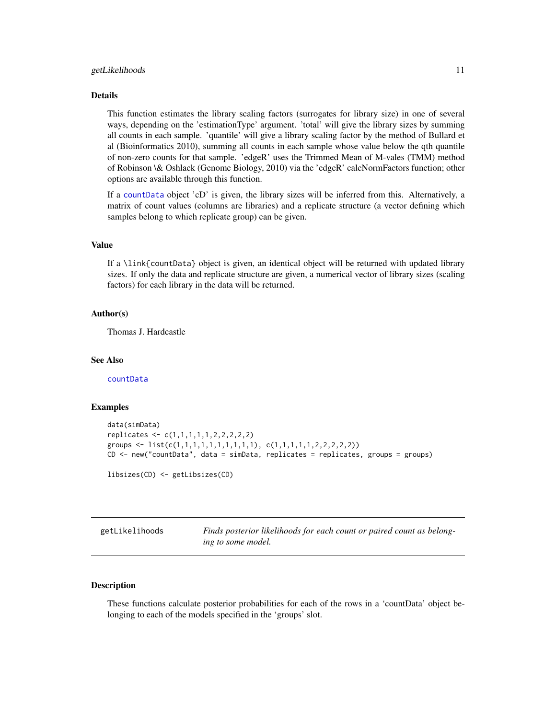#### <span id="page-10-0"></span>Details

This function estimates the library scaling factors (surrogates for library size) in one of several ways, depending on the 'estimationType' argument. 'total' will give the library sizes by summing all counts in each sample. 'quantile' will give a library scaling factor by the method of Bullard et al (Bioinformatics 2010), summing all counts in each sample whose value below the qth quantile of non-zero counts for that sample. 'edgeR' uses the Trimmed Mean of M-vales (TMM) method of Robinson \& Oshlack (Genome Biology, 2010) via the 'edgeR' calcNormFactors function; other options are available through this function.

If a [countData](#page-4-1) object 'cD' is given, the library sizes will be inferred from this. Alternatively, a matrix of count values (columns are libraries) and a replicate structure (a vector defining which samples belong to which replicate group) can be given.

# Value

If a \link{countData} object is given, an identical object will be returned with updated library sizes. If only the data and replicate structure are given, a numerical vector of library sizes (scaling factors) for each library in the data will be returned.

#### Author(s)

Thomas J. Hardcastle

#### See Also

[countData](#page-4-1)

#### Examples

```
data(simData)
replicates <- c(1,1,1,1,1,2,2,2,2,2)
groups <- list(c(1,1,1,1,1,1,1,1,1,1), c(1,1,1,1,1,2,2,2,2,2))
CD <- new("countData", data = simData, replicates = replicates, groups = groups)
```
libsizes(CD) <- getLibsizes(CD)

<span id="page-10-1"></span>

| getLikelihoods | Finds posterior likelihoods for each count or paired count as belong- |
|----------------|-----------------------------------------------------------------------|
|                | ing to some model.                                                    |

# <span id="page-10-2"></span>**Description**

These functions calculate posterior probabilities for each of the rows in a 'countData' object belonging to each of the models specified in the 'groups' slot.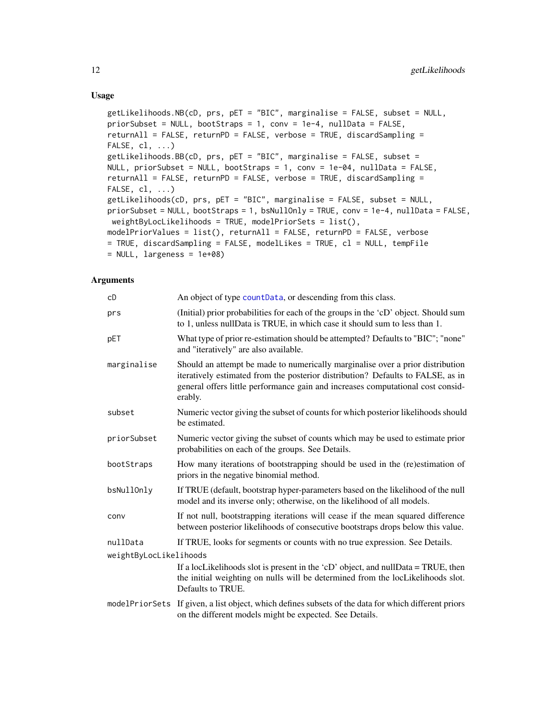# Usage

```
getLikelihoods.NB(cD, prs, pET = "BIC", marginalise = FALSE, subset = NULL,
priorSubset = NULL, bootStraps = 1, conv = 1e-4, nullData = FALSE,
returnAll = FALSE, returnPD = FALSE, verbose = TRUE, discardSampling =
FALSE, cl, \ldots)getLikelihoods.BB(cD, prs, pET = "BIC", marginalise = FALSE, subset =
NULL, priorSubset = NULL, bootStraps = 1, conv = 1e-04, nullData = FALSE,
returnAll = FALSE, returnPD = FALSE, verbose = TRUE, discardSampling =
FALSE, cl, \ldots)getLikelihoods(cD, prs, pET = "BIC", marginalise = FALSE, subset = NULL,
priorSubset = NULL, bootStraps = 1, bsNullOnly = TRUE, conv = 1e-4, nullData = FALSE,
weightByLocLikelihoods = TRUE, modelPriorSets = list(),
modelPriorValues = list(), returnAll = FALSE, returnPD = FALSE, verbose
= TRUE, discardSampling = FALSE, modelLikes = TRUE, cl = NULL, tempFile
= NULL, largeness = 1e+08)
```
#### **Arguments**

| cD                     | An object of type countData, or descending from this class.                                                                                                                                                                                                     |
|------------------------|-----------------------------------------------------------------------------------------------------------------------------------------------------------------------------------------------------------------------------------------------------------------|
| prs                    | (Initial) prior probabilities for each of the groups in the 'cD' object. Should sum<br>to 1, unless nullData is TRUE, in which case it should sum to less than 1.                                                                                               |
| pET                    | What type of prior re-estimation should be attempted? Defaults to "BIC"; "none"<br>and "iteratively" are also available.                                                                                                                                        |
| marginalise            | Should an attempt be made to numerically marginalise over a prior distribution<br>iteratively estimated from the posterior distribution? Defaults to FALSE, as in<br>general offers little performance gain and increases computational cost consid-<br>erably. |
| subset                 | Numeric vector giving the subset of counts for which posterior likelihoods should<br>be estimated.                                                                                                                                                              |
| priorSubset            | Numeric vector giving the subset of counts which may be used to estimate prior<br>probabilities on each of the groups. See Details.                                                                                                                             |
| bootStraps             | How many iterations of bootstrapping should be used in the (re)estimation of<br>priors in the negative binomial method.                                                                                                                                         |
| bsNullOnly             | If TRUE (default, bootstrap hyper-parameters based on the likelihood of the null<br>model and its inverse only; otherwise, on the likelihood of all models.                                                                                                     |
| conv                   | If not null, bootstrapping iterations will cease if the mean squared difference<br>between posterior likelihoods of consecutive bootstraps drops below this value.                                                                                              |
| nullData               | If TRUE, looks for segments or counts with no true expression. See Details.                                                                                                                                                                                     |
| weightByLocLikelihoods |                                                                                                                                                                                                                                                                 |
|                        | If a locLikelihoods slot is present in the 'cD' object, and null Data = TRUE, then<br>the initial weighting on nulls will be determined from the locLikelihoods slot.<br>Defaults to TRUE.                                                                      |
|                        | modelPriorSets If given, a list object, which defines subsets of the data for which different priors<br>on the different models might be expected. See Details.                                                                                                 |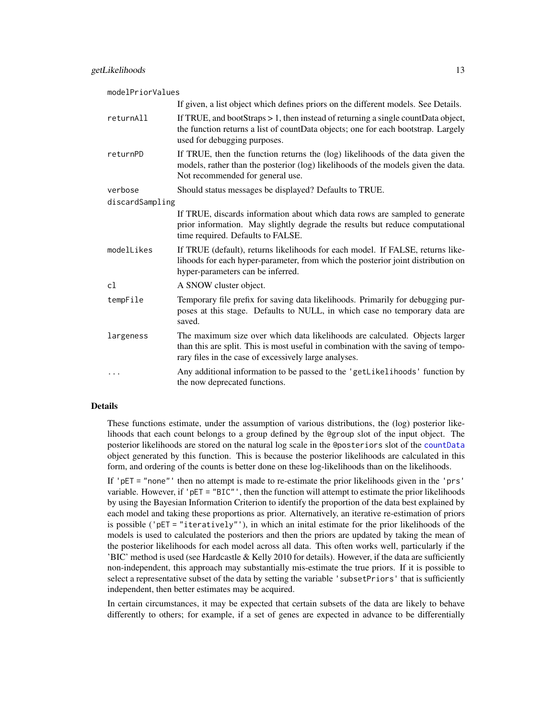| modelPriorValues |                                                                                                                                                                                                                           |
|------------------|---------------------------------------------------------------------------------------------------------------------------------------------------------------------------------------------------------------------------|
|                  | If given, a list object which defines priors on the different models. See Details.                                                                                                                                        |
| returnAll        | If TRUE, and bootStraps $> 1$ , then instead of returning a single countData object,<br>the function returns a list of countData objects; one for each bootstrap. Largely<br>used for debugging purposes.                 |
| returnPD         | If TRUE, then the function returns the (log) likelihoods of the data given the<br>models, rather than the posterior (log) likelihoods of the models given the data.<br>Not recommended for general use.                   |
| verbose          | Should status messages be displayed? Defaults to TRUE.                                                                                                                                                                    |
| discardSampling  |                                                                                                                                                                                                                           |
|                  | If TRUE, discards information about which data rows are sampled to generate<br>prior information. May slightly degrade the results but reduce computational<br>time required. Defaults to FALSE.                          |
| modelLikes       | If TRUE (default), returns likelihoods for each model. If FALSE, returns like-<br>lihoods for each hyper-parameter, from which the posterior joint distribution on<br>hyper-parameters can be inferred.                   |
| c1               | A SNOW cluster object.                                                                                                                                                                                                    |
| tempFile         | Temporary file prefix for saving data likelihoods. Primarily for debugging pur-<br>poses at this stage. Defaults to NULL, in which case no temporary data are<br>saved.                                                   |
| largeness        | The maximum size over which data likelihoods are calculated. Objects larger<br>than this are split. This is most useful in combination with the saving of tempo-<br>rary files in the case of excessively large analyses. |
| $\cdots$         | Any additional information to be passed to the 'getLikelihoods' function by<br>the now deprecated functions.                                                                                                              |

# Details

These functions estimate, under the assumption of various distributions, the (log) posterior likelihoods that each count belongs to a group defined by the @group slot of the input object. The posterior likelihoods are stored on the natural log scale in the @posteriors slot of the [countData](#page-4-1) object generated by this function. This is because the posterior likelihoods are calculated in this form, and ordering of the counts is better done on these log-likelihoods than on the likelihoods.

If 'pET = "none"' then no attempt is made to re-estimate the prior likelihoods given in the 'prs' variable. However, if 'pET = "BIC"', then the function will attempt to estimate the prior likelihoods by using the Bayesian Information Criterion to identify the proportion of the data best explained by each model and taking these proportions as prior. Alternatively, an iterative re-estimation of priors is possible ('pET = "iteratively"'), in which an inital estimate for the prior likelihoods of the models is used to calculated the posteriors and then the priors are updated by taking the mean of the posterior likelihoods for each model across all data. This often works well, particularly if the 'BIC' method is used (see Hardcastle & Kelly 2010 for details). However, if the data are sufficiently non-independent, this approach may substantially mis-estimate the true priors. If it is possible to select a representative subset of the data by setting the variable 'subsetPriors' that is sufficiently independent, then better estimates may be acquired.

In certain circumstances, it may be expected that certain subsets of the data are likely to behave differently to others; for example, if a set of genes are expected in advance to be differentially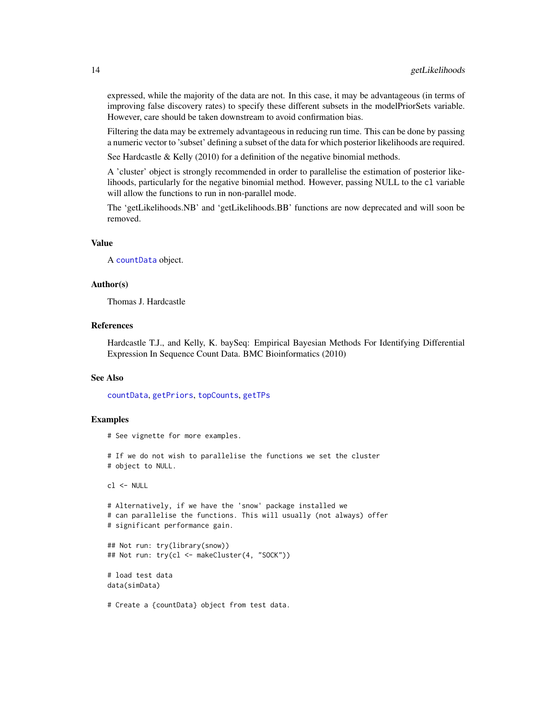<span id="page-13-0"></span>expressed, while the majority of the data are not. In this case, it may be advantageous (in terms of improving false discovery rates) to specify these different subsets in the modelPriorSets variable. However, care should be taken downstream to avoid confirmation bias.

Filtering the data may be extremely advantageous in reducing run time. This can be done by passing a numeric vector to 'subset' defining a subset of the data for which posterior likelihoods are required.

See Hardcastle & Kelly (2010) for a definition of the negative binomial methods.

A 'cluster' object is strongly recommended in order to parallelise the estimation of posterior likelihoods, particularly for the negative binomial method. However, passing NULL to the cl variable will allow the functions to run in non-parallel mode.

The 'getLikelihoods.NB' and 'getLikelihoods.BB' functions are now deprecated and will soon be removed.

#### Value

A [countData](#page-4-1) object.

#### Author(s)

Thomas J. Hardcastle

#### References

Hardcastle T.J., and Kelly, K. baySeq: Empirical Bayesian Methods For Identifying Differential Expression In Sequence Count Data. BMC Bioinformatics (2010)

#### See Also

[countData](#page-4-1), [getPriors](#page-16-1), [topCounts](#page-34-1), [getTPs](#page-18-1)

#### Examples

# See vignette for more examples.

# If we do not wish to parallelise the functions we set the cluster # object to NULL.

```
cl <- NULL
```

```
# Alternatively, if we have the 'snow' package installed we
# can parallelise the functions. This will usually (not always) offer
# significant performance gain.
```

```
## Not run: try(library(snow))
## Not run: try(cl <- makeCluster(4, "SOCK"))
```

```
# load test data
data(simData)
```
# Create a {countData} object from test data.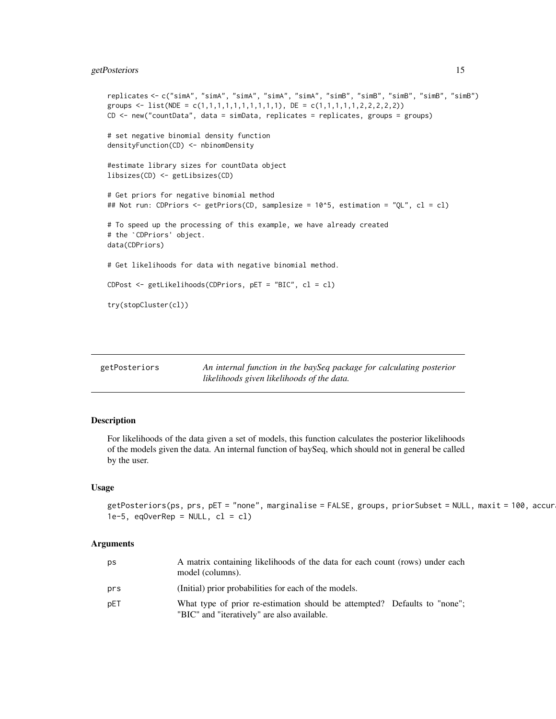# <span id="page-14-0"></span>getPosteriors 15

```
replicates <- c("simA", "simA", "simA", "simA", "simA", "simB", "simB", "simB", "simB", "simB")
groups <- list(NDE = c(1,1,1,1,1,1,1,1,1,1), DE = c(1,1,1,1,1,2,2,2,2,2))
CD <- new("countData", data = simData, replicates = replicates, groups = groups)
# set negative binomial density function
densityFunction(CD) <- nbinomDensity
#estimate library sizes for countData object
libsizes(CD) <- getLibsizes(CD)
# Get priors for negative binomial method
## Not run: CDPriors <- getPriors(CD, samplesize = 10^5, estimation = "QL", cl = cl)
# the `CDPriors' object.
# To speed up the processing of this example, we have already created
data(CDPriors)
# Get likelihoods for data with negative binomial method.
CDPost <- getLikelihoods(CDPriors, pET = "BIC", cl = cl)
try(stopCluster(cl))
```
<span id="page-14-1"></span>

| getPosteriors | An internal function in the baySeq package for calculating posterior |
|---------------|----------------------------------------------------------------------|
|               | likelihoods given likelihoods of the data.                           |

# Description

For likelihoods of the data given a set of models, this function calculates the posterior likelihoods of the models given the data. An internal function of baySeq, which should not in general be called by the user.

#### Usage

```
getPosteriors(ps, prs, pET = "none", marginalise = FALSE, groups, priorSubset = NULL, maxit = 100, accur
1e-5, eqOverRep = NULL, cl = cl)
```
#### Arguments

| ps  | A matrix containing likelihoods of the data for each count (rows) under each<br>model (columns).                         |
|-----|--------------------------------------------------------------------------------------------------------------------------|
| prs | (Initial) prior probabilities for each of the models.                                                                    |
| pET | What type of prior re-estimation should be attempted? Defaults to "none";<br>"BIC" and "iteratively" are also available. |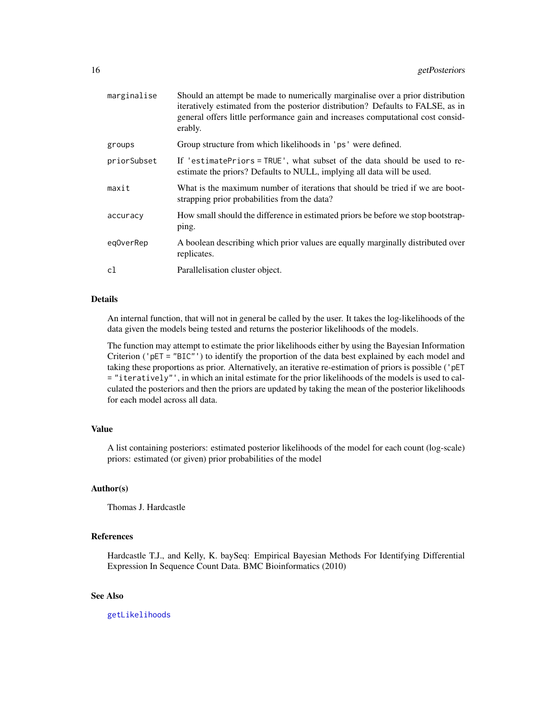<span id="page-15-0"></span>

| marginalise | Should an attempt be made to numerically marginalise over a prior distribution<br>iteratively estimated from the posterior distribution? Defaults to FALSE, as in<br>general offers little performance gain and increases computational cost consid-<br>erably. |
|-------------|-----------------------------------------------------------------------------------------------------------------------------------------------------------------------------------------------------------------------------------------------------------------|
| groups      | Group structure from which likelihoods in 'ps' were defined.                                                                                                                                                                                                    |
| priorSubset | If 'estimatePriors = TRUE', what subset of the data should be used to re-<br>estimate the priors? Defaults to NULL, implying all data will be used.                                                                                                             |
| maxit       | What is the maximum number of iterations that should be tried if we are boot-<br>strapping prior probabilities from the data?                                                                                                                                   |
| accuracy    | How small should the difference in estimated priors be before we stop bootstrap-<br>ping.                                                                                                                                                                       |
| eg0verRep   | A boolean describing which prior values are equally marginally distributed over<br>replicates.                                                                                                                                                                  |
| cl          | Parallelisation cluster object.                                                                                                                                                                                                                                 |

#### Details

An internal function, that will not in general be called by the user. It takes the log-likelihoods of the data given the models being tested and returns the posterior likelihoods of the models.

The function may attempt to estimate the prior likelihoods either by using the Bayesian Information Criterion ('pET = "BIC"') to identify the proportion of the data best explained by each model and taking these proportions as prior. Alternatively, an iterative re-estimation of priors is possible ('pET = "iteratively"', in which an inital estimate for the prior likelihoods of the models is used to calculated the posteriors and then the priors are updated by taking the mean of the posterior likelihoods for each model across all data.

# Value

A list containing posteriors: estimated posterior likelihoods of the model for each count (log-scale) priors: estimated (or given) prior probabilities of the model

#### Author(s)

Thomas J. Hardcastle

#### References

Hardcastle T.J., and Kelly, K. baySeq: Empirical Bayesian Methods For Identifying Differential Expression In Sequence Count Data. BMC Bioinformatics (2010)

# See Also

[getLikelihoods](#page-10-1)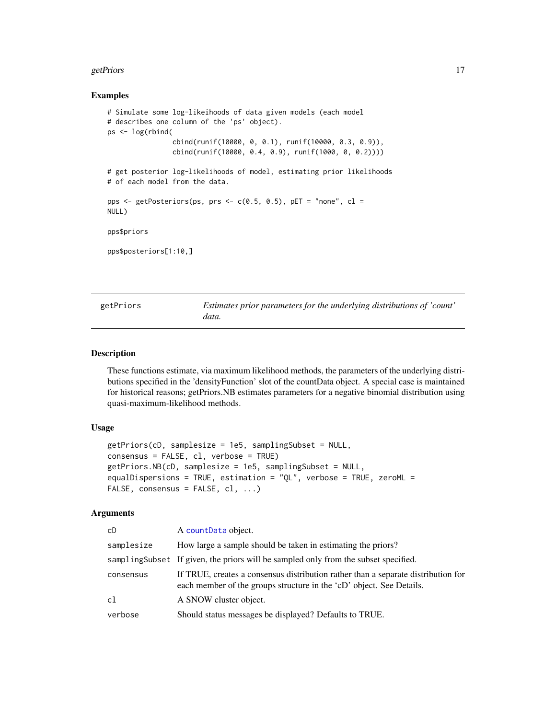#### <span id="page-16-0"></span>getPriors and the set of the set of the set of the set of the set of the set of the set of the set of the set of the set of the set of the set of the set of the set of the set of the set of the set of the set of the set of

#### Examples

```
# Simulate some log-likeihoods of data given models (each model
# describes one column of the 'ps' object).
ps <- log(rbind(
                cbind(runif(10000, 0, 0.1), runif(10000, 0.3, 0.9)),
                cbind(runif(10000, 0.4, 0.9), runif(1000, 0, 0.2))))
# get posterior log-likelihoods of model, estimating prior likelihoods
# of each model from the data.
pps \leq getPosteriors(ps, prs \leq c(0.5, 0.5), pET = "none", cl =
NULL)
pps$priors
pps$posteriors[1:10,]
```
<span id="page-16-1"></span>getPriors *Estimates prior parameters for the underlying distributions of 'count' data.*

#### <span id="page-16-2"></span>Description

These functions estimate, via maximum likelihood methods, the parameters of the underlying distributions specified in the 'densityFunction' slot of the countData object. A special case is maintained for historical reasons; getPriors.NB estimates parameters for a negative binomial distribution using quasi-maximum-likelihood methods.

#### Usage

```
getPriors(cD, samplesize = 1e5, samplingSubset = NULL,
consensus = FALSE, cl, verbose = TRUE)
getPriors.NB(cD, samplesize = 1e5, samplingSubset = NULL,
equalDispersions = TRUE, estimation = "QL", verbose = TRUE, zeroML =
FALSE, consensus = FALSE, cl, ...)
```
#### Arguments

| cD         | A count Data object.                                                                                                                                      |
|------------|-----------------------------------------------------------------------------------------------------------------------------------------------------------|
| samplesize | How large a sample should be taken in estimating the priors?                                                                                              |
|            | samplingSubset If given, the priors will be sampled only from the subset specified.                                                                       |
| consensus  | If TRUE, creates a consensus distribution rather than a separate distribution for<br>each member of the groups structure in the 'cD' object. See Details. |
| cl         | A SNOW cluster object.                                                                                                                                    |
| verbose    | Should status messages be displayed? Defaults to TRUE.                                                                                                    |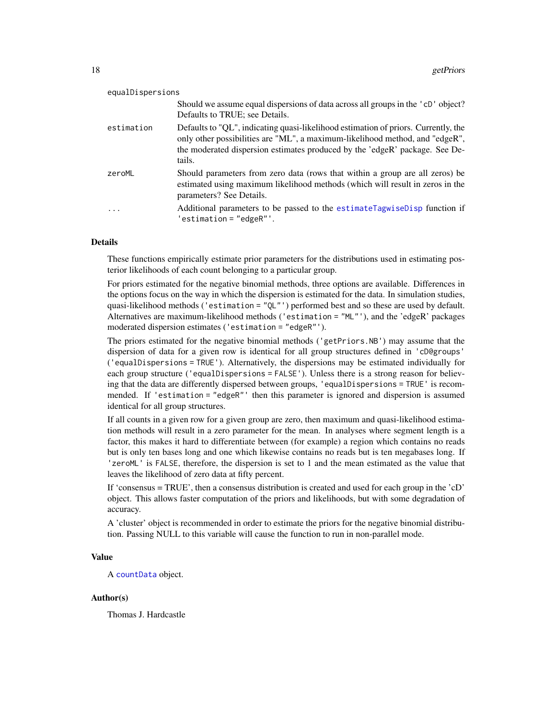<span id="page-17-0"></span>

| equalDispersions |                                                                                                                                                                                                                                                             |
|------------------|-------------------------------------------------------------------------------------------------------------------------------------------------------------------------------------------------------------------------------------------------------------|
|                  | Should we assume equal dispersions of data across all groups in the 'cD' object?<br>Defaults to TRUE; see Details.                                                                                                                                          |
| estimation       | Defaults to "QL", indicating quasi-likelihood estimation of priors. Currently, the<br>only other possibilities are "ML", a maximum-likelihood method, and "edgeR",<br>the moderated dispersion estimates produced by the 'edgeR' package. See De-<br>tails. |
| zeroML           | Should parameters from zero data (rows that within a group are all zeros) be<br>estimated using maximum likelihood methods (which will result in zeros in the<br>parameters? See Details.                                                                   |
|                  | Additional parameters to be passed to the estimate agwised is p function if<br>$'$ estimation = "edgeR" $'.$                                                                                                                                                |

#### Details

These functions empirically estimate prior parameters for the distributions used in estimating posterior likelihoods of each count belonging to a particular group.

For priors estimated for the negative binomial methods, three options are available. Differences in the options focus on the way in which the dispersion is estimated for the data. In simulation studies, quasi-likelihood methods ('estimation = " $QL''$ ') performed best and so these are used by default. Alternatives are maximum-likelihood methods ('estimation = "ML"'), and the 'edgeR' packages moderated dispersion estimates ('estimation = "edgeR"').

The priors estimated for the negative binomial methods ('getPriors.NB') may assume that the dispersion of data for a given row is identical for all group structures defined in 'cD@groups' ('equalDispersions = TRUE'). Alternatively, the dispersions may be estimated individually for each group structure ('equalDispersions = FALSE'). Unless there is a strong reason for believing that the data are differently dispersed between groups, 'equalDispersions = TRUE' is recommended. If 'estimation = "edgeR"' then this parameter is ignored and dispersion is assumed identical for all group structures.

If all counts in a given row for a given group are zero, then maximum and quasi-likelihood estimation methods will result in a zero parameter for the mean. In analyses where segment length is a factor, this makes it hard to differentiate between (for example) a region which contains no reads but is only ten bases long and one which likewise contains no reads but is ten megabases long. If 'zeroML' is FALSE, therefore, the dispersion is set to 1 and the mean estimated as the value that leaves the likelihood of zero data at fifty percent.

If 'consensus = TRUE', then a consensus distribution is created and used for each group in the 'cD' object. This allows faster computation of the priors and likelihoods, but with some degradation of accuracy.

A 'cluster' object is recommended in order to estimate the priors for the negative binomial distribution. Passing NULL to this variable will cause the function to run in non-parallel mode.

# Value

A [countData](#page-4-1) object.

#### Author(s)

Thomas J. Hardcastle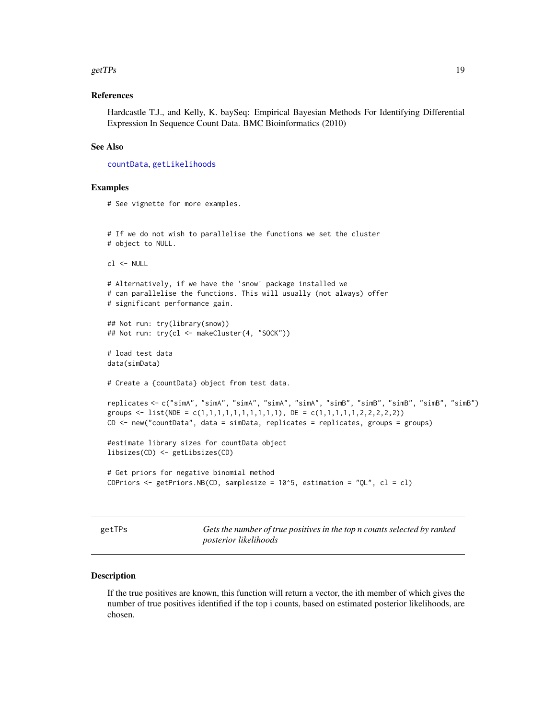#### <span id="page-18-0"></span>get TPs  $\sim$  19

# References

Hardcastle T.J., and Kelly, K. baySeq: Empirical Bayesian Methods For Identifying Differential Expression In Sequence Count Data. BMC Bioinformatics (2010)

# See Also

[countData](#page-4-1), [getLikelihoods](#page-10-1)

#### Examples

```
# See vignette for more examples.
# If we do not wish to parallelise the functions we set the cluster
# object to NULL.
cl <- NULL
# Alternatively, if we have the 'snow' package installed we
# can parallelise the functions. This will usually (not always) offer
# significant performance gain.
## Not run: try(library(snow))
## Not run: try(cl <- makeCluster(4, "SOCK"))
# load test data
data(simData)
# Create a {countData} object from test data.
replicates <- c("simA", "simA", "simA", "simA", "simA", "simB", "simB", "simB", "simB", "simB")
groups <- list(NDE = c(1,1,1,1,1,1,1,1,1,1), DE = c(1,1,1,1,1,2,2,2,2,2))
CD <- new("countData", data = simData, replicates = replicates, groups = groups)
#estimate library sizes for countData object
libsizes(CD) <- getLibsizes(CD)
# Get priors for negative binomial method
CDPriors \leq getPriors.NB(CD, samplesize = 10^5, estimation = "QL", cl = cl)
```
<span id="page-18-1"></span>getTPs *Gets the number of true positives in the top n counts selected by ranked posterior likelihoods*

# Description

If the true positives are known, this function will return a vector, the ith member of which gives the number of true positives identified if the top i counts, based on estimated posterior likelihoods, are chosen.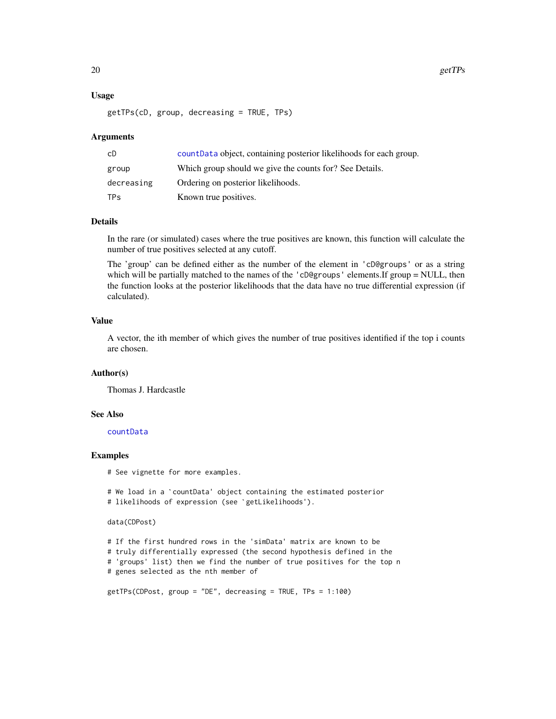#### Usage

```
getTPs(cD, group, decreasing = TRUE, TPs)
```
#### **Arguments**

| сD                    | countData object, containing posterior likelihoods for each group. |
|-----------------------|--------------------------------------------------------------------|
| group                 | Which group should we give the counts for? See Details.            |
| decreasing            | Ordering on posterior likelihoods.                                 |
| <b>TP<sub>S</sub></b> | Known true positives.                                              |

# Details

In the rare (or simulated) cases where the true positives are known, this function will calculate the number of true positives selected at any cutoff.

The 'group' can be defined either as the number of the element in 'cD@groups' or as a string which will be partially matched to the names of the 'cD@groups' elements.If group = NULL, then the function looks at the posterior likelihoods that the data have no true differential expression (if calculated).

#### Value

A vector, the ith member of which gives the number of true positives identified if the top i counts are chosen.

#### Author(s)

Thomas J. Hardcastle

#### See Also

[countData](#page-4-1)

# Examples

# See vignette for more examples.

```
...<br># See vignette for more examples.<br># We load in a `countData' object containing the estimated posterior
% See vignette for more examples.<br># We load in a `countData' object containing the es<br># likelihoods of expression (see `getLikelihoods').
```
#### data(CDPost)

```
# If the first hundred rows in the 'simData' matrix are known to be
# truly differentially expressed (the second hypothesis defined in the
# 'groups' list) then we find the number of true positives for the top n
# genes selected as the nth member of
```

```
getTPs(CDPost, group = "DE", decreasing = TRUE, TPs = 1:100)
```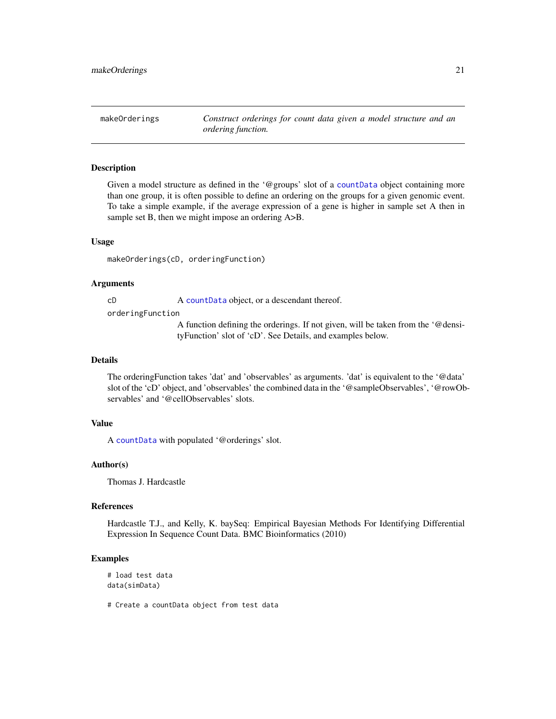<span id="page-20-0"></span>makeOrderings *Construct orderings for count data given a model structure and an ordering function.*

# Description

Given a model structure as defined in the '@groups' slot of a [countData](#page-4-1) object containing more than one group, it is often possible to define an ordering on the groups for a given genomic event. To take a simple example, if the average expression of a gene is higher in sample set A then in sample set B, then we might impose an ordering  $A > B$ .

#### Usage

makeOrderings(cD, orderingFunction)

#### Arguments

cD A [countData](#page-4-1) object, or a descendant thereof.

orderingFunction

A function defining the orderings. If not given, will be taken from the '@densityFunction' slot of 'cD'. See Details, and examples below.

#### Details

The orderingFunction takes 'dat' and 'observables' as arguments. 'dat' is equivalent to the '@data' slot of the 'cD' object, and 'observables' the combined data in the '@sampleObservables', '@rowObservables' and '@cellObservables' slots.

# Value

A [countData](#page-4-1) with populated '@orderings' slot.

#### Author(s)

Thomas J. Hardcastle

# References

Hardcastle T.J., and Kelly, K. baySeq: Empirical Bayesian Methods For Identifying Differential Expression In Sequence Count Data. BMC Bioinformatics (2010)

# Examples

# load test data data(simData)

# Create a countData object from test data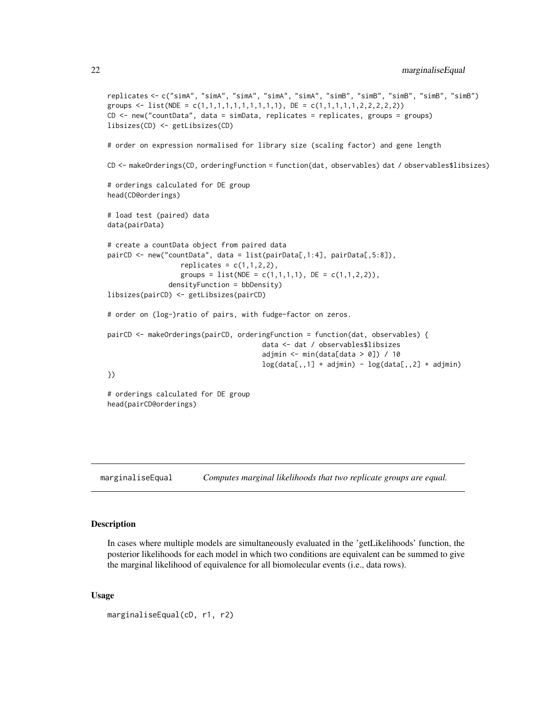```
replicates <- c("simA", "simA", "simA", "simA", "simA", "simB", "simB", "simB", "simB", "simB")
groups <- list(NDE = c(1,1,1,1,1,1,1,1,1,1), DE = c(1,1,1,1,1,2,2,2,2,2))
CD <- new("countData", data = simData, replicates = replicates, groups = groups)
libsizes(CD) <- getLibsizes(CD)
# order on expression normalised for library size (scaling factor) and gene length
CD <- makeOrderings(CD, orderingFunction = function(dat, observables) dat / observables$libsizes)
# orderings calculated for DE group
head(CD@orderings)
# load test (paired) data
data(pairData)
# create a countData object from paired data
pairCD <- new("countData", data = list(pairData[,1:4], pairData[,5:8]),
                  replicates = c(1,1,2,2),groups = list(NDE = c(1,1,1,1), DE = c(1,1,2,2)),
               densityFunction = bbDensity)
libsizes(pairCD) <- getLibsizes(pairCD)
# order on (log-)ratio of pairs, with fudge-factor on zeros.
pairCD <- makeOrderings(pairCD, orderingFunction = function(dat, observables) {
                                      data <- dat / observables$libsizes
                                      adjmin \leq - min(data[data > 0]) / 10
                                      log(data[,, 1] + adjmin) - log(data[,, 2] + adjmin)})
# orderings calculated for DE group
head(pairCD@orderings)
```

```
marginaliseEqual Computes marginal likelihoods that two replicate groups are equal.
```
# Description

In cases where multiple models are simultaneously evaluated in the 'getLikelihoods' function, the posterior likelihoods for each model in which two conditions are equivalent can be summed to give the marginal likelihood of equivalence for all biomolecular events (i.e., data rows).

#### Usage

```
marginaliseEqual(cD, r1, r2)
```
<span id="page-21-0"></span>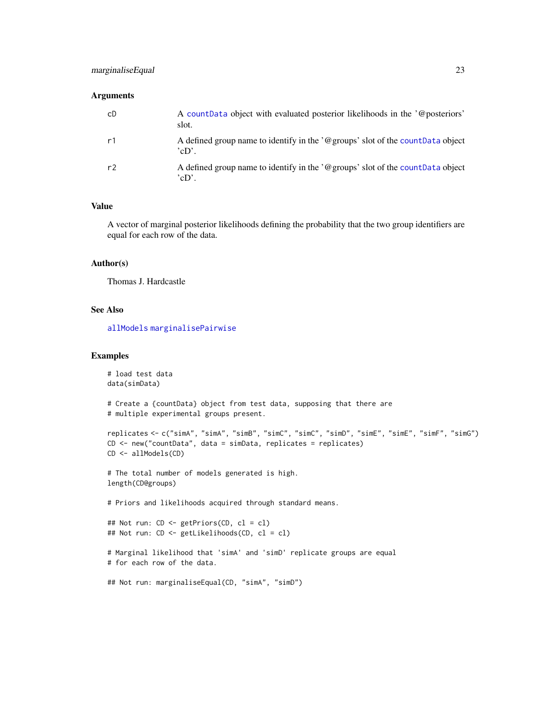# <span id="page-22-0"></span>marginaliseEqual 23

# Arguments

| cD             | A countData object with evaluated posterior likelihoods in the '@posteriors'<br>slot.    |
|----------------|------------------------------------------------------------------------------------------|
| r1             | A defined group name to identify in the '@groups' slot of the count Data object<br>"cD'. |
| r <sup>2</sup> | A defined group name to identify in the '@groups' slot of the count Data object<br>'cD'. |

#### Value

A vector of marginal posterior likelihoods defining the probability that the two group identifiers are equal for each row of the data.

#### Author(s)

Thomas J. Hardcastle

# See Also

[allModels](#page-3-1) [marginalisePairwise](#page-23-1)

#### Examples

```
# load test data
data(simData)
# Create a {countData} object from test data, supposing that there are
# multiple experimental groups present.
replicates <- c("simA", "simA", "simB", "simC", "simC", "simD", "simE", "simE", "simF", "simG")
CD <- new("countData", data = simData, replicates = replicates)
CD <- allModels(CD)
# The total number of models generated is high.
length(CD@groups)
# Priors and likelihoods acquired through standard means.
## Not run: CD <- getPriors(CD, cl = cl)
## Not run: CD <- getLikelihoods(CD, cl = cl)
# Marginal likelihood that 'simA' and 'simD' replicate groups are equal
# for each row of the data.
## Not run: marginaliseEqual(CD, "simA", "simD")
```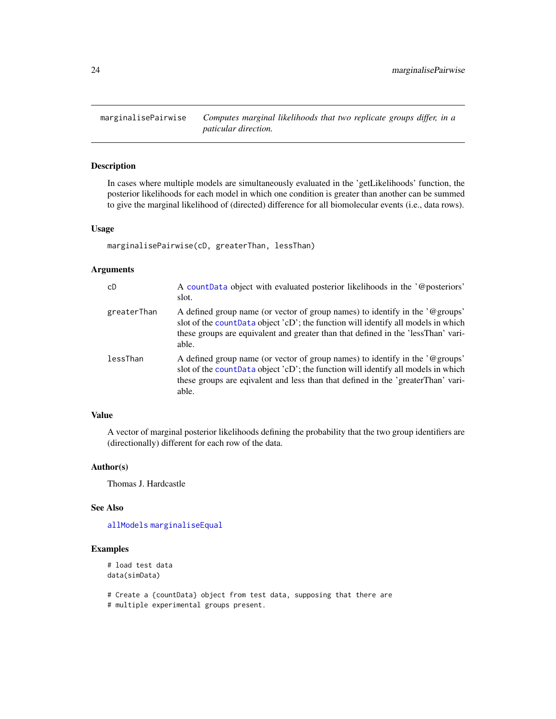<span id="page-23-1"></span><span id="page-23-0"></span>marginalisePairwise *Computes marginal likelihoods that two replicate groups differ, in a paticular direction.*

# Description

In cases where multiple models are simultaneously evaluated in the 'getLikelihoods' function, the posterior likelihoods for each model in which one condition is greater than another can be summed to give the marginal likelihood of (directed) difference for all biomolecular events (i.e., data rows).

#### Usage

marginalisePairwise(cD, greaterThan, lessThan)

# Arguments

| cD          | A countData object with evaluated posterior likelihoods in the '@posteriors'<br>slot.                                                                                                                                                                           |
|-------------|-----------------------------------------------------------------------------------------------------------------------------------------------------------------------------------------------------------------------------------------------------------------|
| greaterThan | A defined group name (or vector of group names) to identify in the '@groups'<br>slot of the countData object 'cD'; the function will identify all models in which<br>these groups are equivalent and greater than that defined in the 'lessThan' vari-<br>able. |
| lessThan    | A defined group name (or vector of group names) to identify in the '@groups'<br>slot of the count Data object 'cD'; the function will identify all models in which<br>these groups are eqivalent and less than that defined in the 'greaterThan' vari-<br>able. |

# Value

A vector of marginal posterior likelihoods defining the probability that the two group identifiers are (directionally) different for each row of the data.

#### Author(s)

Thomas J. Hardcastle

#### See Also

[allModels](#page-3-1) [marginaliseEqual](#page-21-1)

# Examples

```
# load test data
data(simData)
```
# Create a {countData} object from test data, supposing that there are # multiple experimental groups present.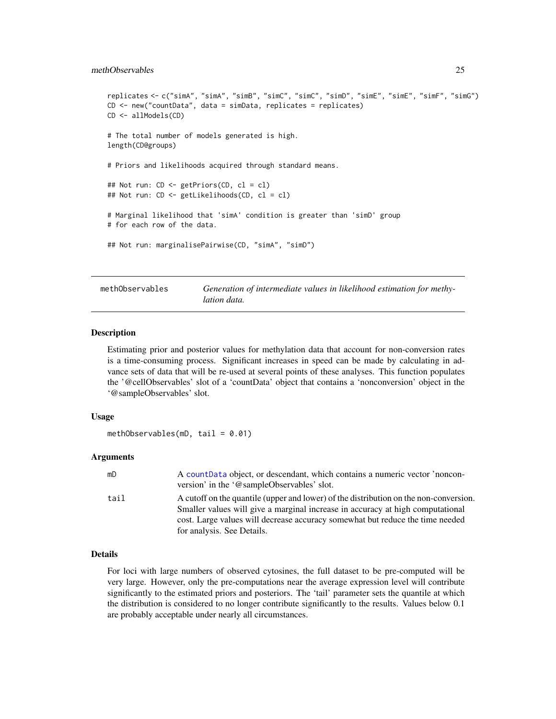#### <span id="page-24-0"></span>methObservables 25

```
replicates <- c("simA", "simA", "simB", "simC", "simC", "simD", "simE", "simE", "simF", "simG")
CD <- new("countData", data = simData, replicates = replicates)
CD <- allModels(CD)
# The total number of models generated is high.
length(CD@groups)
# Priors and likelihoods acquired through standard means.
## Not run: CD <- getPriors(CD, cl = cl)
## Not run: CD <- getLikelihoods(CD, cl = cl)
# Marginal likelihood that 'simA' condition is greater than 'simD' group
# for each row of the data.
## Not run: marginalisePairwise(CD, "simA", "simD")
```
methObservables *Generation of intermediate values in likelihood estimation for methylation data.*

#### Description

Estimating prior and posterior values for methylation data that account for non-conversion rates is a time-consuming process. Significant increases in speed can be made by calculating in advance sets of data that will be re-used at several points of these analyses. This function populates the '@cellObservables' slot of a 'countData' object that contains a 'nonconversion' object in the '@sampleObservables' slot.

#### Usage

```
methObservables(mD, tail = 0.01)
```
#### Arguments

| mD   | A count Data object, or descendant, which contains a numeric vector 'noncon-<br>version' in the '@sampleObservables' slot.                                                                                                                               |
|------|----------------------------------------------------------------------------------------------------------------------------------------------------------------------------------------------------------------------------------------------------------|
| tail | A cutoff on the quantile (upper and lower) of the distribution on the non-conversion.<br>Smaller values will give a marginal increase in accuracy at high computational<br>cost. Large values will decrease accuracy somewhat but reduce the time needed |
|      | for analysis. See Details.                                                                                                                                                                                                                               |

# Details

For loci with large numbers of observed cytosines, the full dataset to be pre-computed will be very large. However, only the pre-computations near the average expression level will contribute significantly to the estimated priors and posteriors. The 'tail' parameter sets the quantile at which the distribution is considered to no longer contribute significantly to the results. Values below 0.1 are probably acceptable under nearly all circumstances.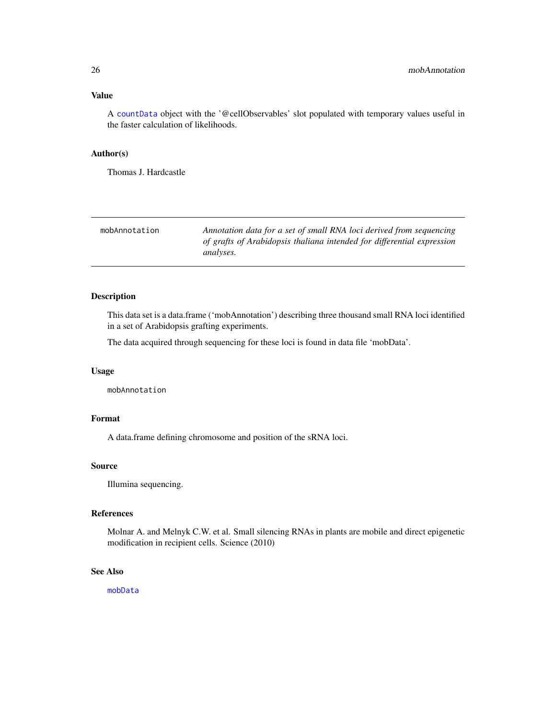### <span id="page-25-0"></span>Value

A [countData](#page-4-1) object with the '@cellObservables' slot populated with temporary values useful in the faster calculation of likelihoods.

#### Author(s)

Thomas J. Hardcastle

<span id="page-25-1"></span>

| mobAnnotation | Annotation data for a set of small RNA loci derived from sequencing                 |
|---------------|-------------------------------------------------------------------------------------|
|               | of grafts of Arabidopsis thaliana intended for differential expression<br>analyses. |

# Description

This data set is a data.frame ('mobAnnotation') describing three thousand small RNA loci identified in a set of Arabidopsis grafting experiments.

The data acquired through sequencing for these loci is found in data file 'mobData'.

# Usage

mobAnnotation

# Format

A data.frame defining chromosome and position of the sRNA loci.

#### Source

Illumina sequencing.

#### References

Molnar A. and Melnyk C.W. et al. Small silencing RNAs in plants are mobile and direct epigenetic modification in recipient cells. Science (2010)

#### See Also

[mobData](#page-26-1)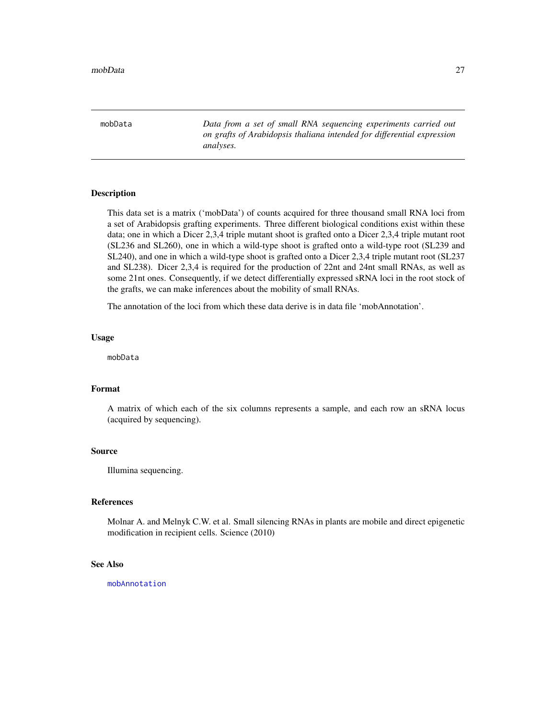<span id="page-26-1"></span><span id="page-26-0"></span>mobData *Data from a set of small RNA sequencing experiments carried out on grafts of Arabidopsis thaliana intended for differential expression analyses.*

#### Description

This data set is a matrix ('mobData') of counts acquired for three thousand small RNA loci from a set of Arabidopsis grafting experiments. Three different biological conditions exist within these data; one in which a Dicer 2,3,4 triple mutant shoot is grafted onto a Dicer 2,3,4 triple mutant root (SL236 and SL260), one in which a wild-type shoot is grafted onto a wild-type root (SL239 and SL240), and one in which a wild-type shoot is grafted onto a Dicer 2,3,4 triple mutant root (SL237 and SL238). Dicer 2,3,4 is required for the production of 22nt and 24nt small RNAs, as well as some 21nt ones. Consequently, if we detect differentially expressed sRNA loci in the root stock of the grafts, we can make inferences about the mobility of small RNAs.

The annotation of the loci from which these data derive is in data file 'mobAnnotation'.

#### Usage

mobData

# Format

A matrix of which each of the six columns represents a sample, and each row an sRNA locus (acquired by sequencing).

#### Source

Illumina sequencing.

#### References

Molnar A. and Melnyk C.W. et al. Small silencing RNAs in plants are mobile and direct epigenetic modification in recipient cells. Science (2010)

# See Also

[mobAnnotation](#page-25-1)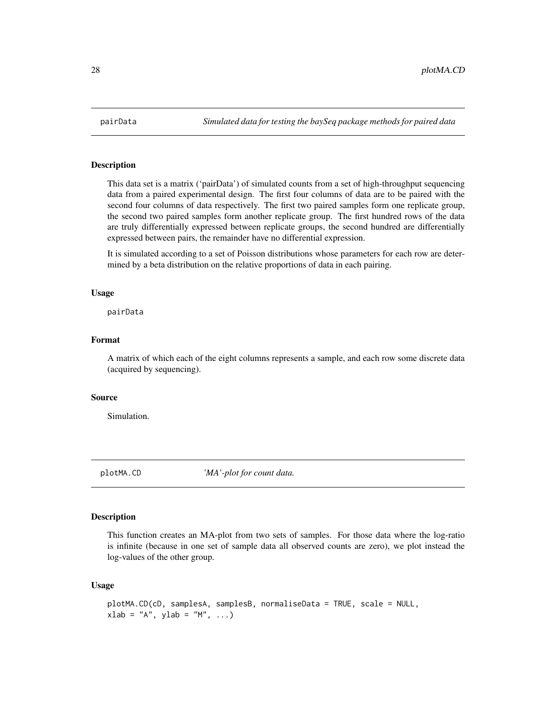<span id="page-27-0"></span>

#### Description

This data set is a matrix ('pairData') of simulated counts from a set of high-throughput sequencing data from a paired experimental design. The first four columns of data are to be paired with the second four columns of data respectively. The first two paired samples form one replicate group, the second two paired samples form another replicate group. The first hundred rows of the data are truly differentially expressed between replicate groups, the second hundred are differentially expressed between pairs, the remainder have no differential expression.

It is simulated according to a set of Poisson distributions whose parameters for each row are determined by a beta distribution on the relative proportions of data in each pairing.

#### Usage

pairData

#### Format

A matrix of which each of the eight columns represents a sample, and each row some discrete data (acquired by sequencing).

#### Source

Simulation.

plotMA.CD *'MA'-plot for count data.*

#### Description

This function creates an MA-plot from two sets of samples. For those data where the log-ratio is infinite (because in one set of sample data all observed counts are zero), we plot instead the log-values of the other group.

#### Usage

```
plotMA.CD(cD, samplesA, samplesB, normaliseData = TRUE, scale = NULL,
xlab = "A", ylab = "M", ...)
```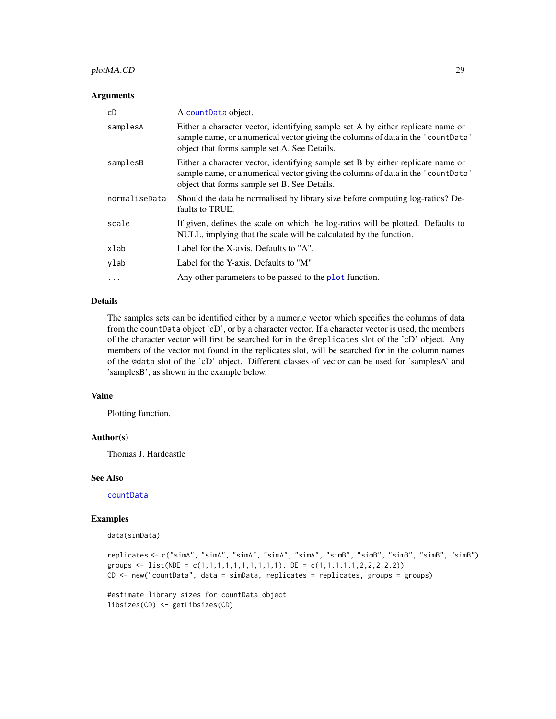# <span id="page-28-0"></span>plotMA.CD 29

#### **Arguments**

| cD            | A countData object.                                                                                                                                                                                                 |
|---------------|---------------------------------------------------------------------------------------------------------------------------------------------------------------------------------------------------------------------|
| samplesA      | Either a character vector, identifying sample set A by either replicate name or<br>sample name, or a numerical vector giving the columns of data in the 'countData'<br>object that forms sample set A. See Details. |
| samplesB      | Either a character vector, identifying sample set B by either replicate name or<br>sample name, or a numerical vector giving the columns of data in the 'countData'<br>object that forms sample set B. See Details. |
| normaliseData | Should the data be normalised by library size before computing log-ratios? De-<br>faults to TRUE.                                                                                                                   |
| scale         | If given, defines the scale on which the log-ratios will be plotted. Defaults to<br>NULL, implying that the scale will be calculated by the function.                                                               |
| xlab          | Label for the X-axis. Defaults to "A".                                                                                                                                                                              |
| ylab          | Label for the Y-axis. Defaults to "M".                                                                                                                                                                              |
| $\ddotsc$     | Any other parameters to be passed to the plot function.                                                                                                                                                             |

# Details

The samples sets can be identified either by a numeric vector which specifies the columns of data from the countData object 'cD', or by a character vector. If a character vector is used, the members of the character vector will first be searched for in the @replicates slot of the 'cD' object. Any members of the vector not found in the replicates slot, will be searched for in the column names of the @data slot of the 'cD' object. Different classes of vector can be used for 'samplesA' and 'samplesB', as shown in the example below.

# Value

Plotting function.

#### Author(s)

Thomas J. Hardcastle

# See Also

[countData](#page-4-1)

#### Examples

data(simData)

```
replicates <- c("simA", "simA", "simA", "simA", "simA", "simB", "simB", "simB", "simB", "simB")
groups <- list(NDE = c(1,1,1,1,1,1,1,1,1,1), DE = c(1,1,1,1,1,2,2,2,2,2))
CD <- new("countData", data = simData, replicates = replicates, groups = groups)
```
#estimate library sizes for countData object libsizes(CD) <- getLibsizes(CD)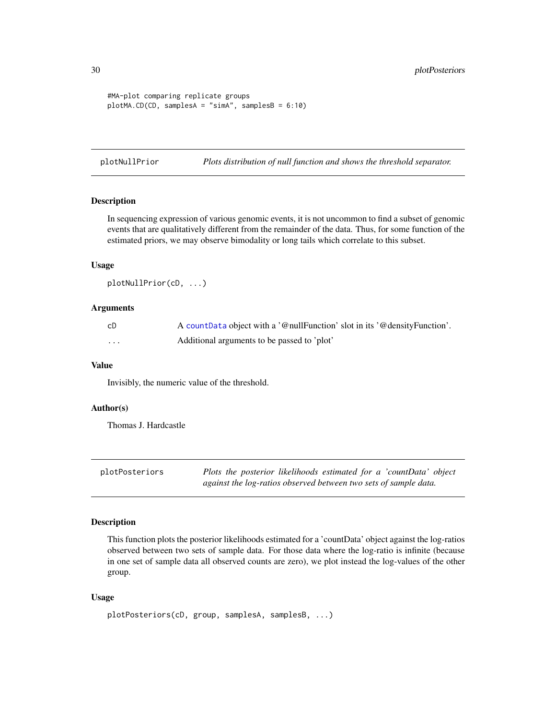```
#MA-plot comparing replicate groups
plotMA.CD(CD, samplesA = "simA", samplesB = 6:10)
```
plotNullPrior *Plots distribution of null function and shows the threshold separator.*

#### Description

In sequencing expression of various genomic events, it is not uncommon to find a subset of genomic events that are qualitatively different from the remainder of the data. Thus, for some function of the estimated priors, we may observe bimodality or long tails which correlate to this subset.

#### Usage

plotNullPrior(cD, ...)

# Arguments

| cD       | A count Data object with a '@nullFunction' slot in its '@densityFunction'. |
|----------|----------------------------------------------------------------------------|
| $\cdots$ | Additional arguments to be passed to 'plot'                                |

#### Value

Invisibly, the numeric value of the threshold.

#### Author(s)

Thomas J. Hardcastle

| plotPosteriors | Plots the posterior likelihoods estimated for a 'countData' object |
|----------------|--------------------------------------------------------------------|
|                | against the log-ratios observed between two sets of sample data.   |

#### Description

This function plots the posterior likelihoods estimated for a 'countData' object against the log-ratios observed between two sets of sample data. For those data where the log-ratio is infinite (because in one set of sample data all observed counts are zero), we plot instead the log-values of the other group.

# Usage

```
plotPosteriors(cD, group, samplesA, samplesB, ...)
```
<span id="page-29-0"></span>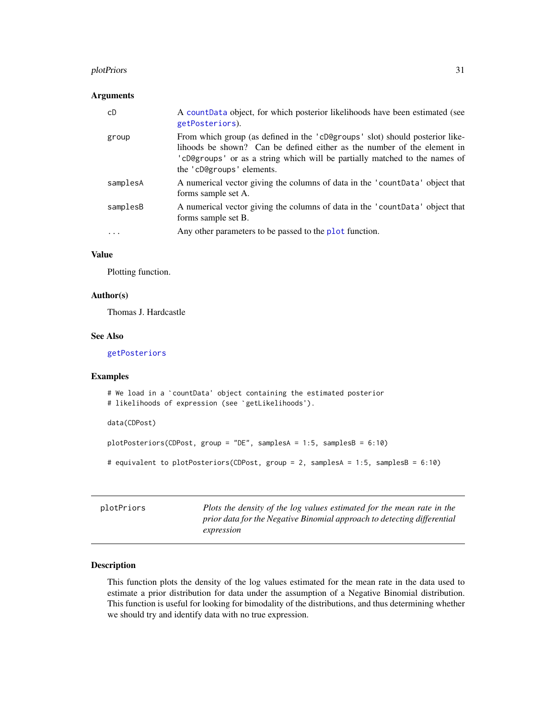#### <span id="page-30-0"></span>plotPriors 31

#### **Arguments**

| cD       | A count Data object, for which posterior likelihoods have been estimated (see<br>getPosteriors).                                                                                                                                                                   |
|----------|--------------------------------------------------------------------------------------------------------------------------------------------------------------------------------------------------------------------------------------------------------------------|
| group    | From which group (as defined in the 'cD@groups' slot) should posterior like-<br>lihoods be shown? Can be defined either as the number of the element in<br>'cD@groups' or as a string which will be partially matched to the names of<br>the 'cD@groups' elements. |
| samplesA | A numerical vector giving the columns of data in the 'count Data' object that<br>forms sample set A.                                                                                                                                                               |
| samplesB | A numerical vector giving the columns of data in the 'count Data' object that<br>forms sample set B.                                                                                                                                                               |
| .        | Any other parameters to be passed to the plot function.                                                                                                                                                                                                            |

# Value

Plotting function.

# Author(s)

Thomas J. Hardcastle

# See Also

[getPosteriors](#page-14-1)

#### Examples

```
# We load in a `countData' object containing the estimated posterior
# likelihoods of expression (see `getLikelihoods').
data(CDPost)
plotPosteriors(CDPost, group = "DE", samplesA = 1:5, samplesB = 6:10)
# equivalent to plotPosteriors(CDPost, group = 2, samplesA = 1:5, samplesB = 6:10)
```
plotPriors *Plots the density of the log values estimated for the mean rate in the prior data for the Negative Binomial approach to detecting differential expression*

# Description

This function plots the density of the log values estimated for the mean rate in the data used to estimate a prior distribution for data under the assumption of a Negative Binomial distribution. This function is useful for looking for bimodality of the distributions, and thus determining whether we should try and identify data with no true expression.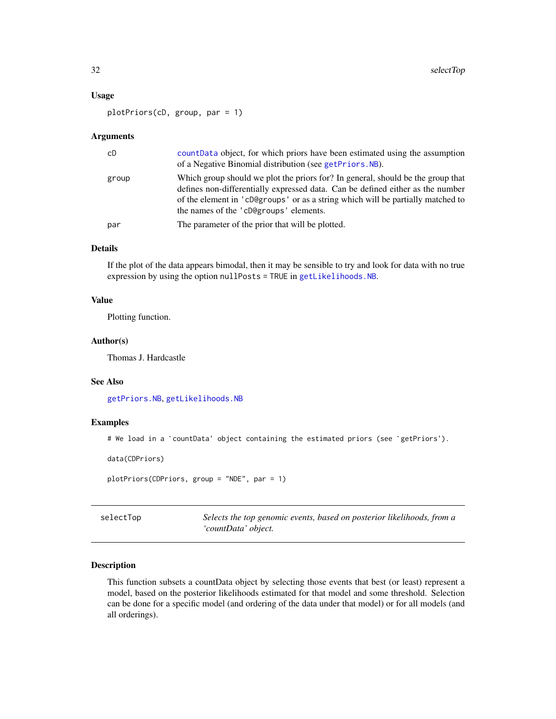#### <span id="page-31-0"></span>Usage

plotPriors(cD, group, par = 1)

#### **Arguments**

| cD    | count Data object, for which priors have been estimated using the assumption<br>of a Negative Binomial distribution (see getPriors. NB).                                                                                                                                                       |
|-------|------------------------------------------------------------------------------------------------------------------------------------------------------------------------------------------------------------------------------------------------------------------------------------------------|
| group | Which group should we plot the priors for? In general, should be the group that<br>defines non-differentially expressed data. Can be defined either as the number<br>of the element in 'cD@groups' or as a string which will be partially matched to<br>the names of the 'cD@groups' elements. |
| par   | The parameter of the prior that will be plotted.                                                                                                                                                                                                                                               |

# Details

If the plot of the data appears bimodal, then it may be sensible to try and look for data with no true expression by using the option nullPosts = TRUE in [getLikelihoods.NB](#page-10-2).

# Value

Plotting function.

# Author(s)

Thomas J. Hardcastle

# See Also

[getPriors.NB](#page-16-2), [getLikelihoods.NB](#page-10-2)

#### Examples

```
# We load in a `countData' object containing the estimated priors (see `getPriors').
```
data(CDPriors)

```
plotPriors(CDPriors, group = "NDE", par = 1)
```
<span id="page-31-1"></span>selectTop *Selects the top genomic events, based on posterior likelihoods, from a 'countData' object.*

#### Description

This function subsets a countData object by selecting those events that best (or least) represent a model, based on the posterior likelihoods estimated for that model and some threshold. Selection can be done for a specific model (and ordering of the data under that model) or for all models (and all orderings).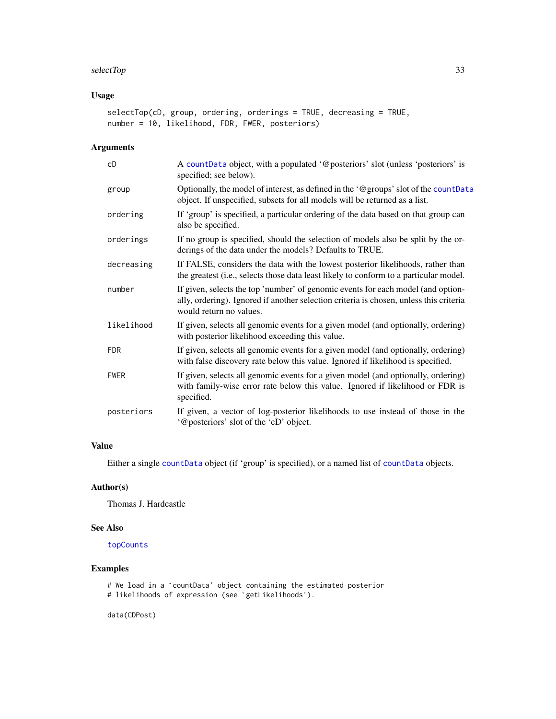#### <span id="page-32-0"></span>selectTop 33

# Usage

```
selectTop(cD, group, ordering, orderings = TRUE, decreasing = TRUE,
number = 10, likelihood, FDR, FWER, posteriors)
```
# Arguments

| cD          | A countData object, with a populated '@posteriors' slot (unless 'posteriors' is<br>specified; see below).                                                                                             |
|-------------|-------------------------------------------------------------------------------------------------------------------------------------------------------------------------------------------------------|
| group       | Optionally, the model of interest, as defined in the '@groups' slot of the countData<br>object. If unspecified, subsets for all models will be returned as a list.                                    |
| ordering    | If 'group' is specified, a particular ordering of the data based on that group can<br>also be specified.                                                                                              |
| orderings   | If no group is specified, should the selection of models also be split by the or-<br>derings of the data under the models? Defaults to TRUE.                                                          |
| decreasing  | If FALSE, considers the data with the lowest posterior likelihoods, rather than<br>the greatest (i.e., selects those data least likely to conform to a particular model.                              |
| number      | If given, selects the top 'number' of genomic events for each model (and option-<br>ally, ordering). Ignored if another selection criteria is chosen, unless this criteria<br>would return no values. |
| likelihood  | If given, selects all genomic events for a given model (and optionally, ordering)<br>with posterior likelihood exceeding this value.                                                                  |
| <b>FDR</b>  | If given, selects all genomic events for a given model (and optionally, ordering)<br>with false discovery rate below this value. Ignored if likelihood is specified.                                  |
| <b>FWER</b> | If given, selects all genomic events for a given model (and optionally, ordering)<br>with family-wise error rate below this value. Ignored if likelihood or FDR is<br>specified.                      |
| posteriors  | If given, a vector of log-posterior likelihoods to use instead of those in the<br>'@posteriors' slot of the 'cD' object.                                                                              |

# Value

Either a single [countData](#page-4-1) object (if 'group' is specified), or a named list of [countData](#page-4-1) objects.

# Author(s)

Thomas J. Hardcastle

# See Also

[topCounts](#page-34-1)

# Examples

```
which the samples<br># We load in a `countData' object containing the estimated posterior<br># We load in a `countData' object containing the estimated posterior
m<mark>ples</mark><br># We load in a `countData' object containing the es<br># likelihoods of expression (see `getLikelihoods').
```
data(CDPost)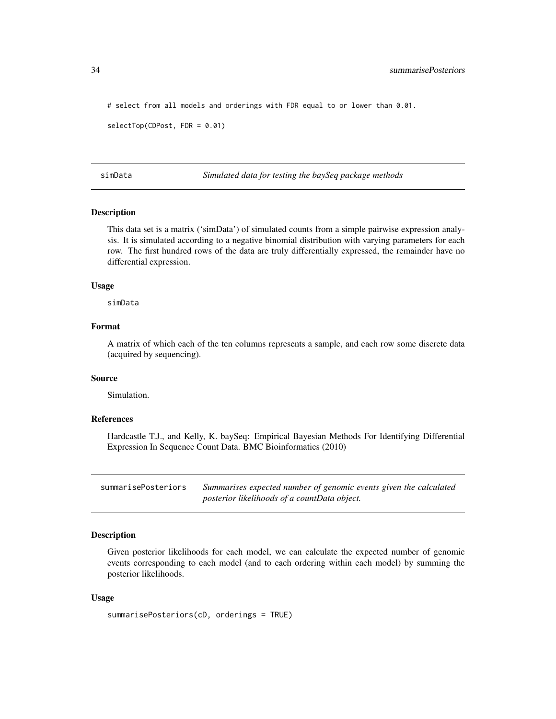# select from all models and orderings with FDR equal to or lower than 0.01.

```
selectTop(CDPost, FDR = 0.01)
```
simData *Simulated data for testing the baySeq package methods*

#### Description

This data set is a matrix ('simData') of simulated counts from a simple pairwise expression analysis. It is simulated according to a negative binomial distribution with varying parameters for each row. The first hundred rows of the data are truly differentially expressed, the remainder have no differential expression.

#### Usage

simData

# Format

A matrix of which each of the ten columns represents a sample, and each row some discrete data (acquired by sequencing).

#### Source

Simulation.

#### References

Hardcastle T.J., and Kelly, K. baySeq: Empirical Bayesian Methods For Identifying Differential Expression In Sequence Count Data. BMC Bioinformatics (2010)

summarisePosteriors *Summarises expected number of genomic events given the calculated posterior likelihoods of a countData object.*

#### **Description**

Given posterior likelihoods for each model, we can calculate the expected number of genomic events corresponding to each model (and to each ordering within each model) by summing the posterior likelihoods.

#### Usage

```
summarisePosteriors(cD, orderings = TRUE)
```
<span id="page-33-0"></span>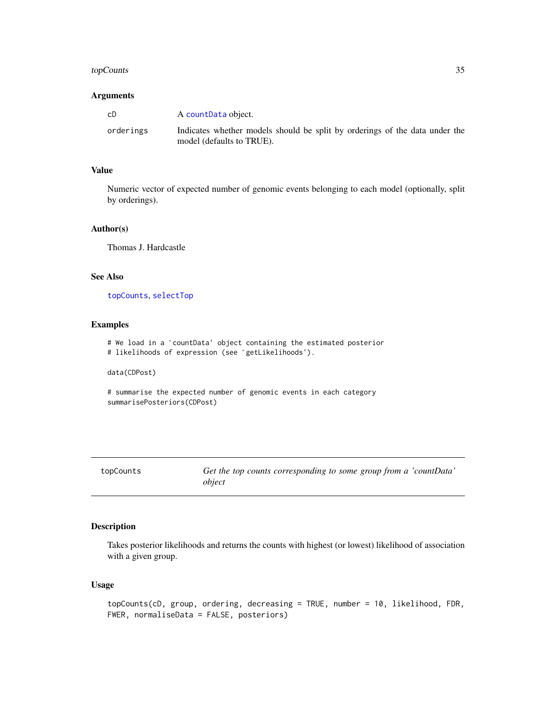# <span id="page-34-0"></span>topCounts 35

# Arguments

| cD        | A countData object.                                                                                      |
|-----------|----------------------------------------------------------------------------------------------------------|
| orderings | Indicates whether models should be split by orderings of the data under the<br>model (defaults to TRUE). |

# Value

Numeric vector of expected number of genomic events belonging to each model (optionally, split by orderings).

# Author(s)

Thomas J. Hardcastle

# See Also

[topCounts](#page-34-1), [selectTop](#page-31-1)

# Examples

# We load in a `countData' object containing the estimated posterior # likelihoods of expression (see `getLikelihoods').

data(CDPost)

```
# summarise the expected number of genomic events in each category
summarisePosteriors(CDPost)
```
<span id="page-34-1"></span>

| topCounts |
|-----------|
|-----------|

Get the top counts corresponding to some group from a 'countData' *object*

# Description

Takes posterior likelihoods and returns the counts with highest (or lowest) likelihood of association with a given group.

# Usage

```
topCounts(cD, group, ordering, decreasing = TRUE, number = 10, likelihood, FDR,
FWER, normaliseData = FALSE, posteriors)
```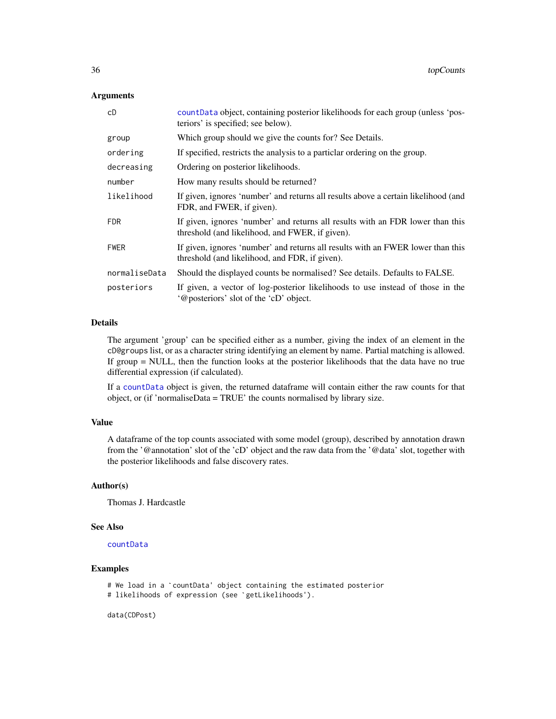# <span id="page-35-0"></span>**Arguments**

| cD            | count Data object, containing posterior likelihoods for each group (unless 'pos-<br>teriors' is specified; see below).            |
|---------------|-----------------------------------------------------------------------------------------------------------------------------------|
| group         | Which group should we give the counts for? See Details.                                                                           |
| ordering      | If specified, restricts the analysis to a particlar ordering on the group.                                                        |
| decreasing    | Ordering on posterior likelihoods.                                                                                                |
| number        | How many results should be returned?                                                                                              |
| likelihood    | If given, ignores 'number' and returns all results above a certain likelihood (and<br>FDR, and FWER, if given).                   |
| <b>FDR</b>    | If given, ignores 'number' and returns all results with an FDR lower than this<br>threshold (and likelihood, and FWER, if given). |
| <b>FWER</b>   | If given, ignores 'number' and returns all results with an FWER lower than this<br>threshold (and likelihood, and FDR, if given). |
| normaliseData | Should the displayed counts be normalised? See details. Defaults to FALSE.                                                        |
| posteriors    | If given, a vector of log-posterior likelihoods to use instead of those in the<br>'@posteriors' slot of the 'cD' object.          |

# Details

The argument 'group' can be specified either as a number, giving the index of an element in the cD@groups list, or as a character string identifying an element by name. Partial matching is allowed. If group = NULL, then the function looks at the posterior likelihoods that the data have no true differential expression (if calculated).

If a [countData](#page-4-1) object is given, the returned dataframe will contain either the raw counts for that object, or (if 'normaliseData = TRUE' the counts normalised by library size.

# Value

A dataframe of the top counts associated with some model (group), described by annotation drawn from the '@annotation' slot of the 'cD' object and the raw data from the '@data' slot, together with the posterior likelihoods and false discovery rates.

# Author(s)

Thomas J. Hardcastle

#### See Also

[countData](#page-4-1)

# Examples

```
# We load in a `countData' object containing the estimated posterior
# likelihoods of expression (see `getLikelihoods').
```
data(CDPost)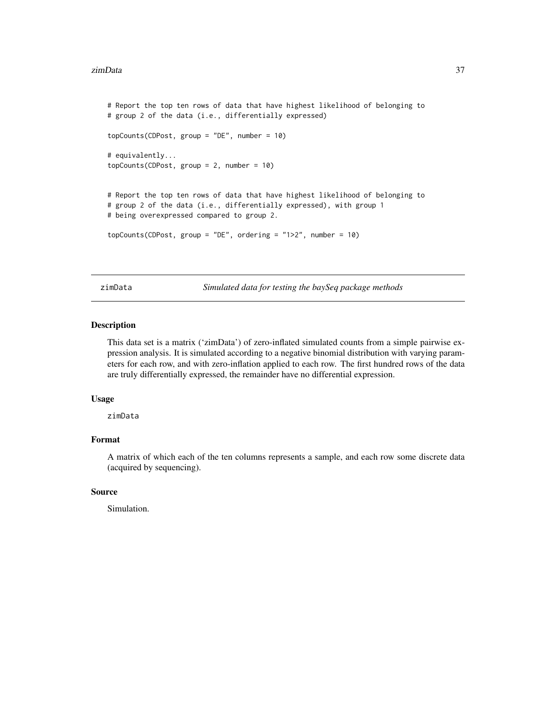#### <span id="page-36-0"></span>zimData 37

```
# Report the top ten rows of data that have highest likelihood of belonging to
# group 2 of the data (i.e., differentially expressed)
topCounts(CDPost, group = "DE", number = 10)
# equivalently...
topCounts(CDPost, group = 2, number = 10)
# Report the top ten rows of data that have highest likelihood of belonging to
# group 2 of the data (i.e., differentially expressed), with group 1
# being overexpressed compared to group 2.
topCounts(CDPost, group = "DE", ordering = "1>2", number = 10)
```
zimData *Simulated data for testing the baySeq package methods*

#### **Description**

This data set is a matrix ('zimData') of zero-inflated simulated counts from a simple pairwise expression analysis. It is simulated according to a negative binomial distribution with varying parameters for each row, and with zero-inflation applied to each row. The first hundred rows of the data are truly differentially expressed, the remainder have no differential expression.

#### Usage

zimData

# Format

A matrix of which each of the ten columns represents a sample, and each row some discrete data (acquired by sequencing).

#### Source

Simulation.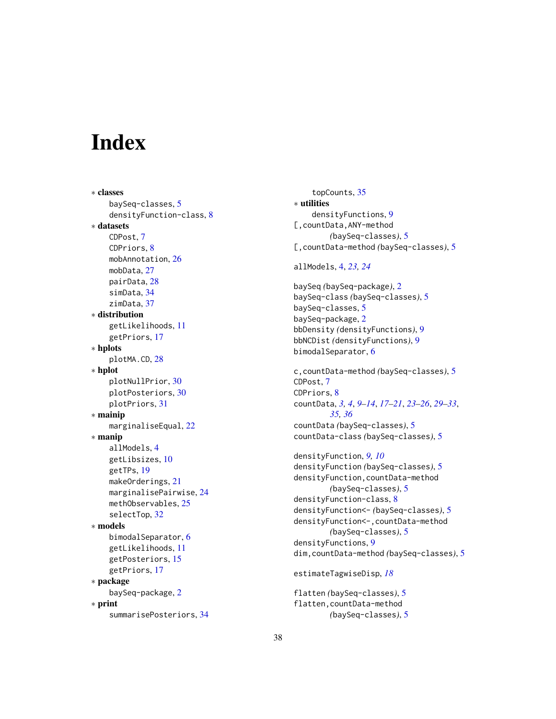# <span id="page-37-0"></span>**Index**

∗ classes baySeq-classes, [5](#page-4-0) densityFunction-class, [8](#page-7-0) ∗ datasets CDPost, [7](#page-6-0) CDPriors, [8](#page-7-0) mobAnnotation, [26](#page-25-0) mobData, [27](#page-26-0) pairData, [28](#page-27-0) simData, [34](#page-33-0) zimData, [37](#page-36-0) ∗ distribution getLikelihoods, [11](#page-10-0) getPriors, [17](#page-16-0) ∗ hplots plotMA.CD, [28](#page-27-0) ∗ hplot plotNullPrior, [30](#page-29-0) plotPosteriors, [30](#page-29-0) plotPriors, [31](#page-30-0) ∗ mainip marginaliseEqual, [22](#page-21-0) ∗ manip allModels, [4](#page-3-0) getLibsizes, [10](#page-9-0) getTPs, [19](#page-18-0) makeOrderings, [21](#page-20-0) marginalisePairwise, [24](#page-23-0) methObservables, [25](#page-24-0) selectTop, [32](#page-31-0) ∗ models bimodalSeparator, [6](#page-5-0) getLikelihoods, [11](#page-10-0) getPosteriors, [15](#page-14-0) getPriors, [17](#page-16-0) ∗ package baySeq-package, [2](#page-1-0) ∗ print summarisePosteriors, [34](#page-33-0)

topCounts, [35](#page-34-0) ∗ utilities densityFunctions, [9](#page-8-0) [,countData,ANY-method *(*baySeq-classes*)*, [5](#page-4-0) [,countData-method *(*baySeq-classes*)*, [5](#page-4-0) allModels, [4,](#page-3-0) *[23,](#page-22-0) [24](#page-23-0)* baySeq *(*baySeq-package*)*, [2](#page-1-0) baySeq-class *(*baySeq-classes*)*, [5](#page-4-0) baySeq-classes, [5](#page-4-0) baySeq-package, [2](#page-1-0) bbDensity *(*densityFunctions*)*, [9](#page-8-0) bbNCDist *(*densityFunctions*)*, [9](#page-8-0) bimodalSeparator, [6](#page-5-0) c,countData-method *(*baySeq-classes*)*, [5](#page-4-0) CDPost, [7](#page-6-0) CDPriors, [8](#page-7-0) countData, *[3,](#page-2-0) [4](#page-3-0)*, *[9](#page-8-0)[–14](#page-13-0)*, *[17](#page-16-0)[–21](#page-20-0)*, *[23](#page-22-0)[–26](#page-25-0)*, *[29](#page-28-0)[–33](#page-32-0)*, *[35,](#page-34-0) [36](#page-35-0)* countData *(*baySeq-classes*)*, [5](#page-4-0) countData-class *(*baySeq-classes*)*, [5](#page-4-0) densityFunction, *[9,](#page-8-0) [10](#page-9-0)* densityFunction *(*baySeq-classes*)*, [5](#page-4-0) densityFunction,countData-method *(*baySeq-classes*)*, [5](#page-4-0) densityFunction-class, [8](#page-7-0) densityFunction<- *(*baySeq-classes*)*, [5](#page-4-0) densityFunction<-,countData-method *(*baySeq-classes*)*, [5](#page-4-0) densityFunctions, [9](#page-8-0) dim,countData-method *(*baySeq-classes*)*, [5](#page-4-0) estimateTagwiseDisp, *[18](#page-17-0)* flatten *(*baySeq-classes*)*, [5](#page-4-0) flatten,countData-method

*(*baySeq-classes*)*, [5](#page-4-0)